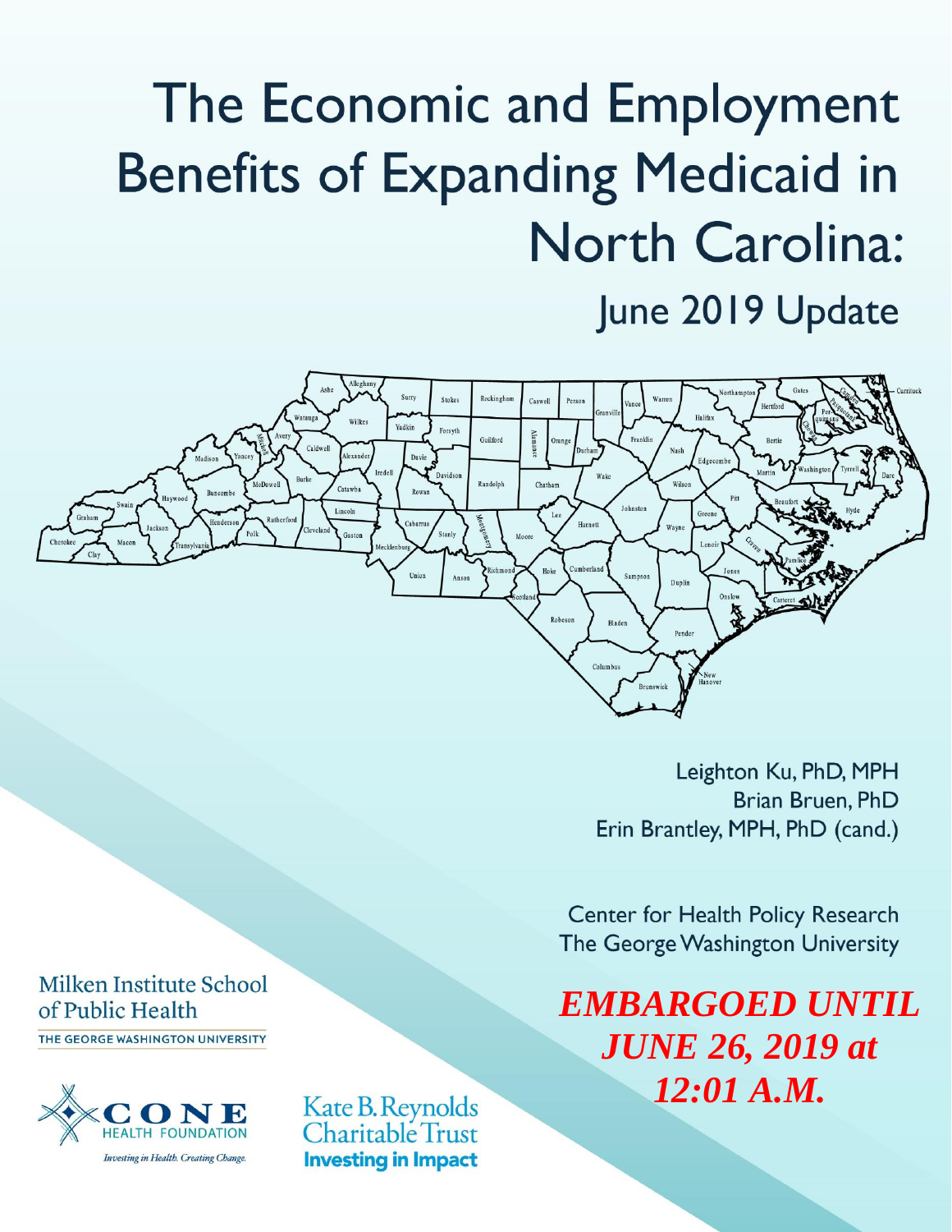# The Economic and Employment **Benefits of Expanding Medicaid in North Carolina:** June 2019 Update



Leighton Ku, PhD, MPH Brian Bruen, PhD Erin Brantley, MPH, PhD (cand.)

**Center for Health Policy Research** The George Washington University

*EMBARGOED UNTIL JUNE 26, 2019 at 12:01 A.M.*

Milken Institute School of Public Health

THE GEORGE WASHINGTON UNIVERSITY



Kate B. Reynolds Charitable Trust **Investing in Impact**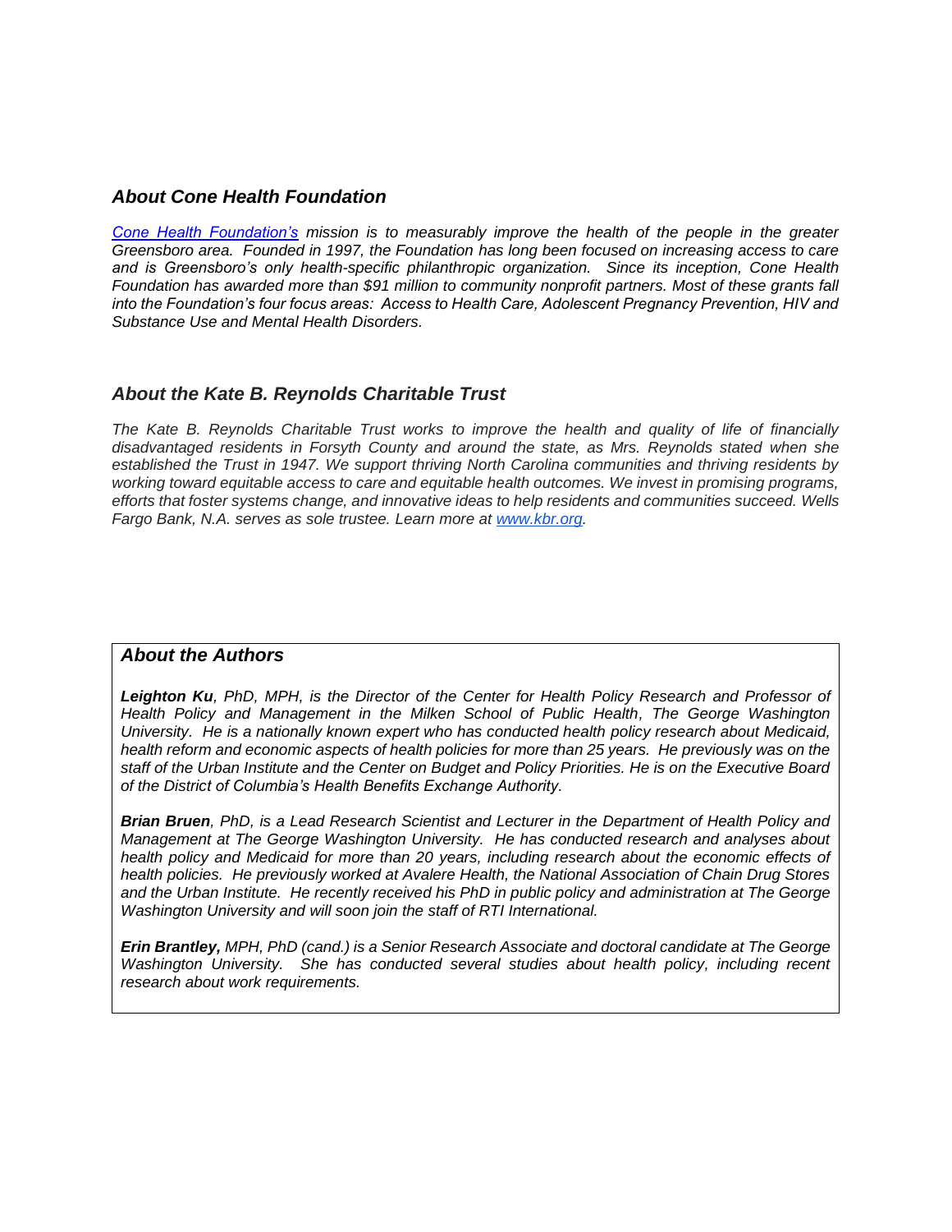## *About Cone Health Foundation*

*[Cone Health Foundation's](http://www.conehealthfoundation.com/) mission is to measurably improve the health of the people in the greater Greensboro area. Founded in 1997, the Foundation has long been focused on increasing access to care and is Greensboro's only health-specific philanthropic organization. Since its inception, Cone Health Foundation has awarded more than \$91 million to community nonprofit partners. Most of these grants fall into the Foundation's four focus areas: Access to Health Care, Adolescent Pregnancy Prevention, HIV and Substance Use and Mental Health Disorders.*

## *About the Kate B. Reynolds Charitable Trust*

*The Kate B. Reynolds Charitable Trust works to improve the health and quality of life of financially disadvantaged residents in Forsyth County and around the state, as Mrs. Reynolds stated when she established the Trust in 1947. We support thriving North Carolina communities and thriving residents by working toward equitable access to care and equitable health outcomes. We invest in promising programs, efforts that foster systems change, and innovative ideas to help residents and communities succeed. Wells Fargo Bank, N.A. serves as sole trustee. Learn more at [www.kbr.org.](http://www.kbr.org/)*

#### *About the Authors*

*Leighton Ku, PhD, MPH, is the Director of the Center for Health Policy Research and Professor of Health Policy and Management in the Milken School of Public Health, The George Washington University. He is a nationally known expert who has conducted health policy research about Medicaid, health reform and economic aspects of health policies for more than 25 years. He previously was on the staff of the Urban Institute and the Center on Budget and Policy Priorities. He is on the Executive Board of the District of Columbia's Health Benefits Exchange Authority.*

*Brian Bruen, PhD, is a Lead Research Scientist and Lecturer in the Department of Health Policy and Management at The George Washington University. He has conducted research and analyses about health policy and Medicaid for more than 20 years, including research about the economic effects of health policies. He previously worked at Avalere Health, the National Association of Chain Drug Stores and the Urban Institute. He recently received his PhD in public policy and administration at The George Washington University and will soon join the staff of RTI International.*

*Erin Brantley, MPH, PhD (cand.) is a Senior Research Associate and doctoral candidate at The George Washington University. She has conducted several studies about health policy, including recent research about work requirements.*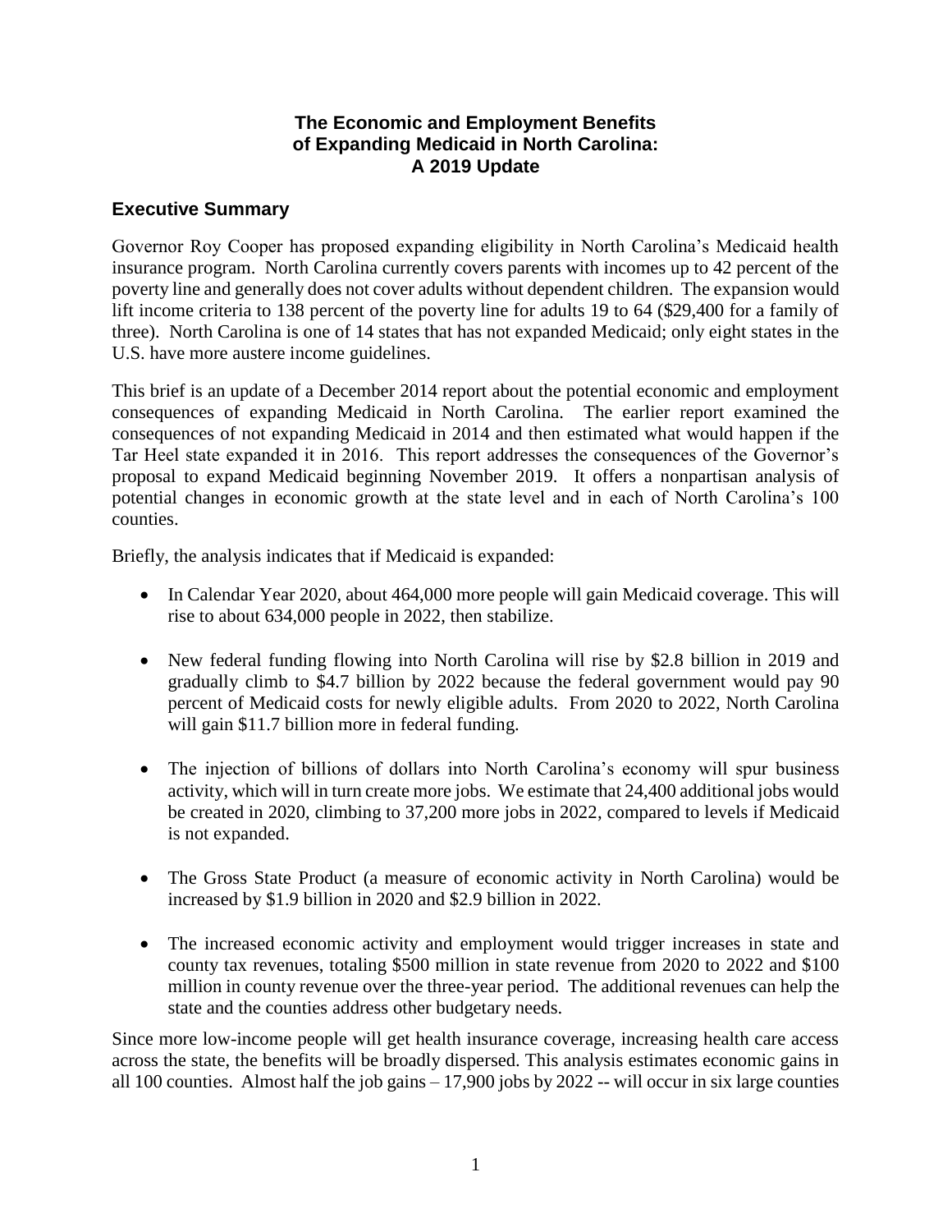## **The Economic and Employment Benefits of Expanding Medicaid in North Carolina: A 2019 Update**

# **Executive Summary**

Governor Roy Cooper has proposed expanding eligibility in North Carolina's Medicaid health insurance program. North Carolina currently covers parents with incomes up to 42 percent of the poverty line and generally does not cover adults without dependent children. The expansion would lift income criteria to 138 percent of the poverty line for adults 19 to 64 (\$29,400 for a family of three). North Carolina is one of 14 states that has not expanded Medicaid; only eight states in the U.S. have more austere income guidelines.

This brief is an update of a December 2014 report about the potential economic and employment consequences of expanding Medicaid in North Carolina. The earlier report examined the consequences of not expanding Medicaid in 2014 and then estimated what would happen if the Tar Heel state expanded it in 2016. This report addresses the consequences of the Governor's proposal to expand Medicaid beginning November 2019. It offers a nonpartisan analysis of potential changes in economic growth at the state level and in each of North Carolina's 100 counties.

Briefly, the analysis indicates that if Medicaid is expanded:

- In Calendar Year 2020, about 464,000 more people will gain Medicaid coverage. This will rise to about 634,000 people in 2022, then stabilize.
- New federal funding flowing into North Carolina will rise by \$2.8 billion in 2019 and gradually climb to \$4.7 billion by 2022 because the federal government would pay 90 percent of Medicaid costs for newly eligible adults. From 2020 to 2022, North Carolina will gain \$11.7 billion more in federal funding.
- The injection of billions of dollars into North Carolina's economy will spur business activity, which will in turn create more jobs. We estimate that 24,400 additional jobs would be created in 2020, climbing to 37,200 more jobs in 2022, compared to levels if Medicaid is not expanded.
- The Gross State Product (a measure of economic activity in North Carolina) would be increased by \$1.9 billion in 2020 and \$2.9 billion in 2022.
- The increased economic activity and employment would trigger increases in state and county tax revenues, totaling \$500 million in state revenue from 2020 to 2022 and \$100 million in county revenue over the three-year period. The additional revenues can help the state and the counties address other budgetary needs.

Since more low-income people will get health insurance coverage, increasing health care access across the state, the benefits will be broadly dispersed. This analysis estimates economic gains in all 100 counties. Almost half the job gains – 17,900 jobs by 2022 -- will occur in six large counties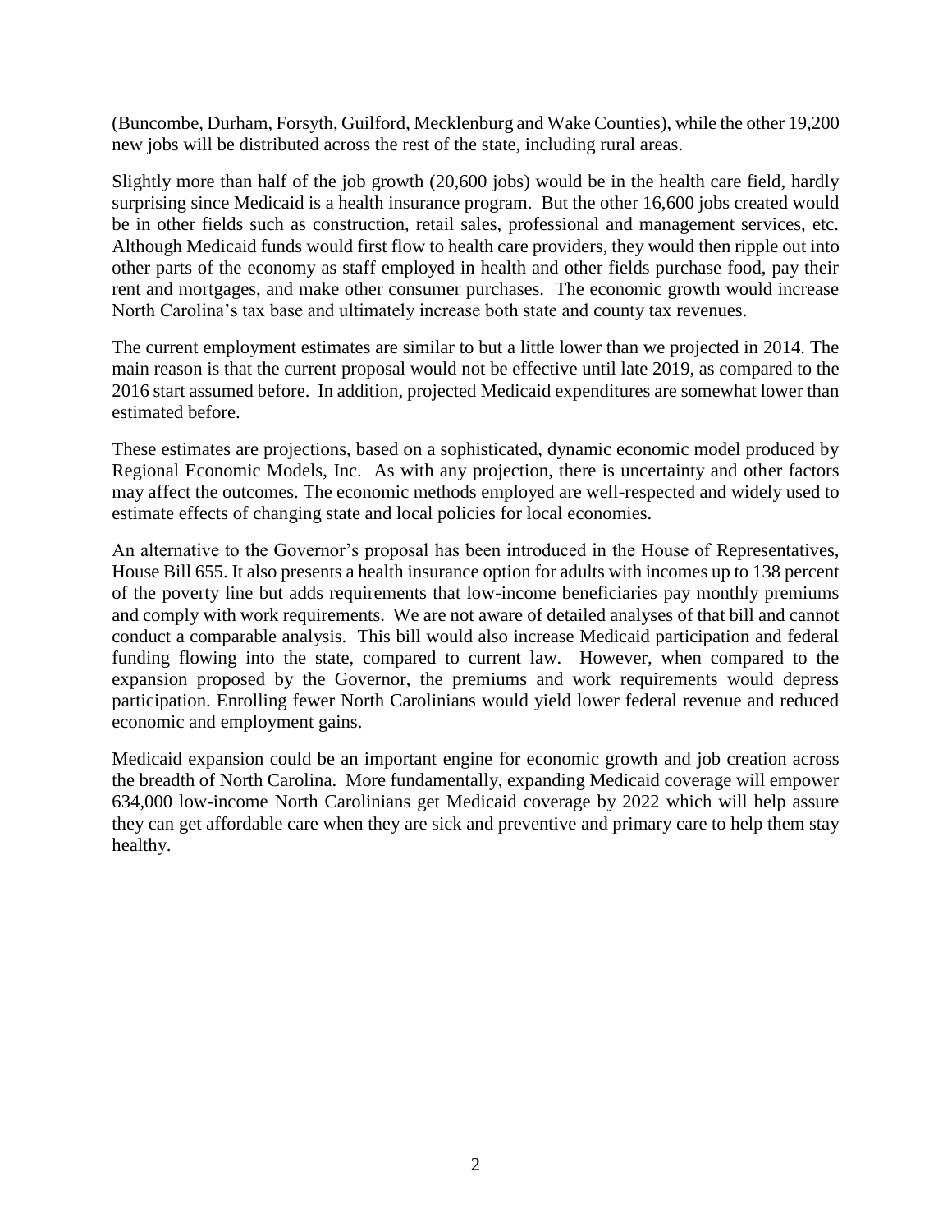(Buncombe, Durham, Forsyth, Guilford, Mecklenburg and Wake Counties), while the other 19,200 new jobs will be distributed across the rest of the state, including rural areas.

Slightly more than half of the job growth (20,600 jobs) would be in the health care field, hardly surprising since Medicaid is a health insurance program. But the other 16,600 jobs created would be in other fields such as construction, retail sales, professional and management services, etc. Although Medicaid funds would first flow to health care providers, they would then ripple out into other parts of the economy as staff employed in health and other fields purchase food, pay their rent and mortgages, and make other consumer purchases. The economic growth would increase North Carolina's tax base and ultimately increase both state and county tax revenues.

The current employment estimates are similar to but a little lower than we projected in 2014. The main reason is that the current proposal would not be effective until late 2019, as compared to the 2016 start assumed before. In addition, projected Medicaid expenditures are somewhat lower than estimated before.

These estimates are projections, based on a sophisticated, dynamic economic model produced by Regional Economic Models, Inc. As with any projection, there is uncertainty and other factors may affect the outcomes. The economic methods employed are well-respected and widely used to estimate effects of changing state and local policies for local economies.

An alternative to the Governor's proposal has been introduced in the House of Representatives, House Bill 655. It also presents a health insurance option for adults with incomes up to 138 percent of the poverty line but adds requirements that low-income beneficiaries pay monthly premiums and comply with work requirements. We are not aware of detailed analyses of that bill and cannot conduct a comparable analysis. This bill would also increase Medicaid participation and federal funding flowing into the state, compared to current law. However, when compared to the expansion proposed by the Governor, the premiums and work requirements would depress participation. Enrolling fewer North Carolinians would yield lower federal revenue and reduced economic and employment gains.

Medicaid expansion could be an important engine for economic growth and job creation across the breadth of North Carolina. More fundamentally, expanding Medicaid coverage will empower 634,000 low-income North Carolinians get Medicaid coverage by 2022 which will help assure they can get affordable care when they are sick and preventive and primary care to help them stay healthy.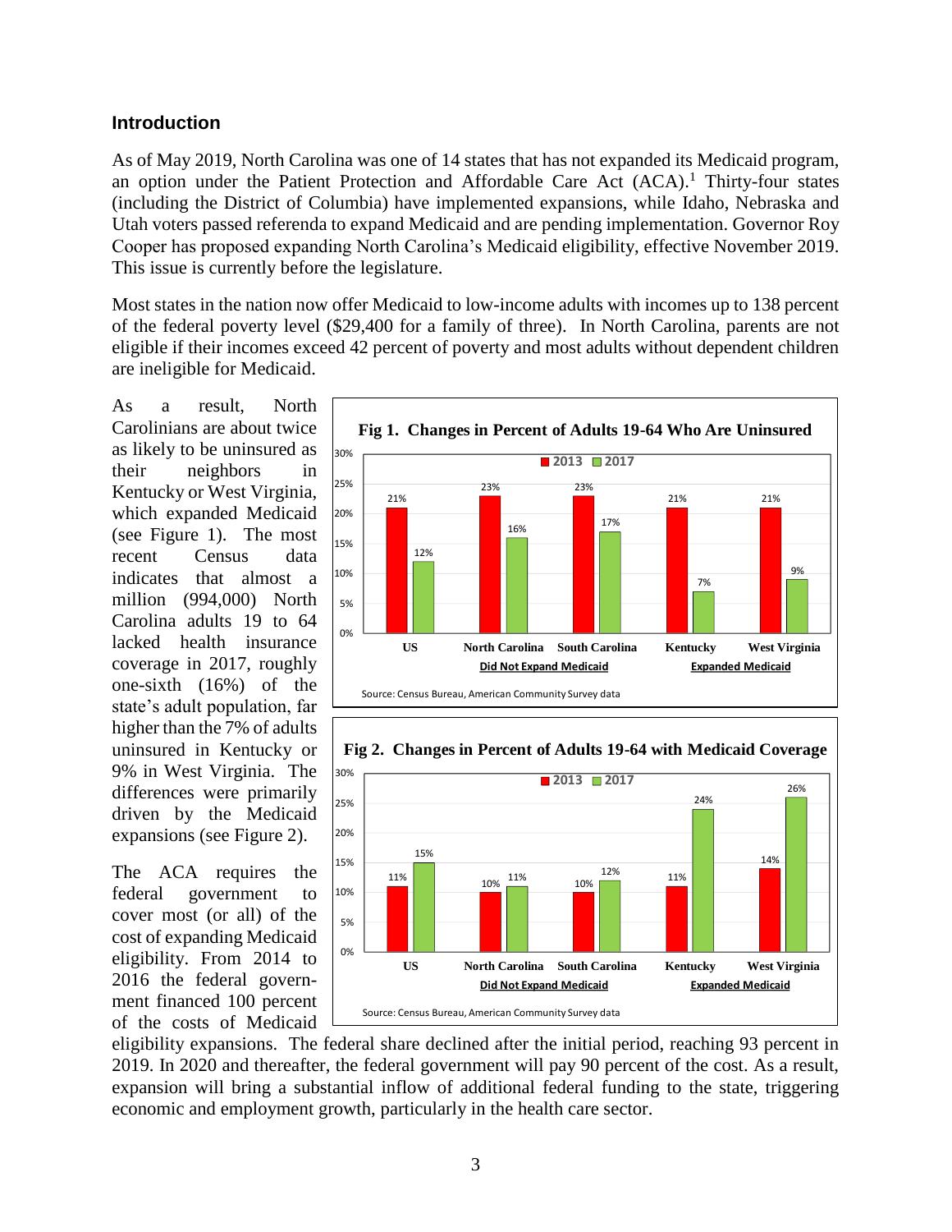## **Introduction**

As of May 2019, North Carolina was one of 14 states that has not expanded its Medicaid program, an option under the Patient Protection and Affordable Care Act (ACA). <sup>1</sup> Thirty-four states (including the District of Columbia) have implemented expansions, while Idaho, Nebraska and Utah voters passed referenda to expand Medicaid and are pending implementation. Governor Roy Cooper has proposed expanding North Carolina's Medicaid eligibility, effective November 2019. This issue is currently before the legislature.

Most states in the nation now offer Medicaid to low-income adults with incomes up to 138 percent of the federal poverty level (\$29,400 for a family of three). In North Carolina, parents are not eligible if their incomes exceed 42 percent of poverty and most adults without dependent children are ineligible for Medicaid.

As a result, North Carolinians are about twice as likely to be uninsured as their neighbors in Kentucky or West Virginia, which expanded Medicaid (see Figure 1). The most recent Census data indicates that almost a million (994,000) North Carolina adults 19 to 64 lacked health insurance coverage in 2017, roughly one-sixth (16%) of the state's adult population, far higher than the 7% of adults uninsured in Kentucky or 9% in West Virginia. The differences were primarily driven by the Medicaid expansions (see Figure 2).

The ACA requires the federal government to cover most (or all) of the cost of expanding Medicaid eligibility. From 2014 to 2016 the federal government financed 100 percent of the costs of Medicaid





**Fig 2. Changes in Percent of Adults 19-64 with Medicaid Coverage**

eligibility expansions. The federal share declined after the initial period, reaching 93 percent in 2019. In 2020 and thereafter, the federal government will pay 90 percent of the cost. As a result, expansion will bring a substantial inflow of additional federal funding to the state, triggering economic and employment growth, particularly in the health care sector.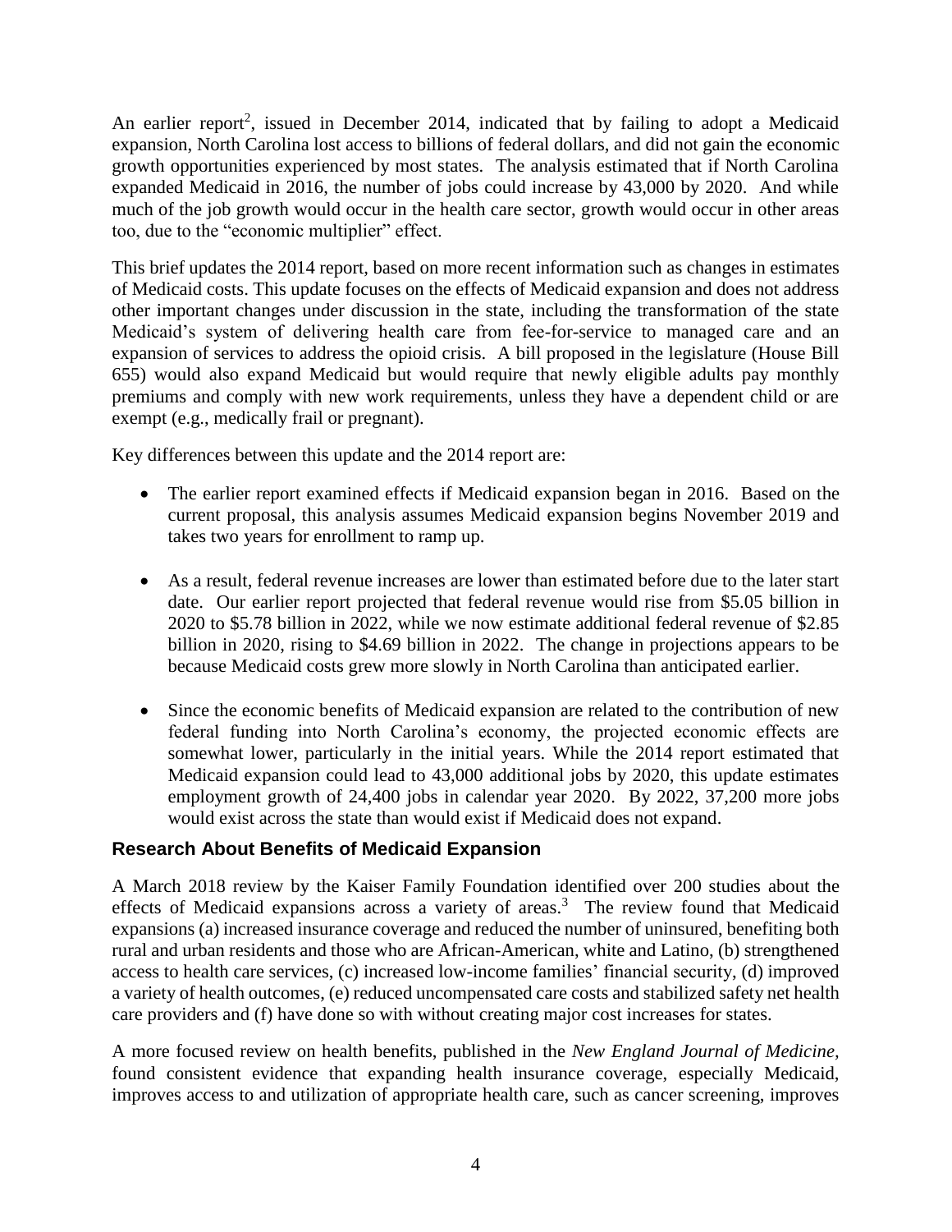An earlier report<sup>2</sup>, issued in December 2014, indicated that by failing to adopt a Medicaid expansion, North Carolina lost access to billions of federal dollars, and did not gain the economic growth opportunities experienced by most states. The analysis estimated that if North Carolina expanded Medicaid in 2016, the number of jobs could increase by 43,000 by 2020. And while much of the job growth would occur in the health care sector, growth would occur in other areas too, due to the "economic multiplier" effect.

This brief updates the 2014 report, based on more recent information such as changes in estimates of Medicaid costs. This update focuses on the effects of Medicaid expansion and does not address other important changes under discussion in the state, including the transformation of the state Medicaid's system of delivering health care from fee-for-service to managed care and an expansion of services to address the opioid crisis. A bill proposed in the legislature (House Bill 655) would also expand Medicaid but would require that newly eligible adults pay monthly premiums and comply with new work requirements, unless they have a dependent child or are exempt (e.g., medically frail or pregnant).

Key differences between this update and the 2014 report are:

- The earlier report examined effects if Medicaid expansion began in 2016. Based on the current proposal, this analysis assumes Medicaid expansion begins November 2019 and takes two years for enrollment to ramp up.
- As a result, federal revenue increases are lower than estimated before due to the later start date. Our earlier report projected that federal revenue would rise from \$5.05 billion in 2020 to \$5.78 billion in 2022, while we now estimate additional federal revenue of \$2.85 billion in 2020, rising to \$4.69 billion in 2022. The change in projections appears to be because Medicaid costs grew more slowly in North Carolina than anticipated earlier.
- Since the economic benefits of Medicaid expansion are related to the contribution of new federal funding into North Carolina's economy, the projected economic effects are somewhat lower, particularly in the initial years. While the 2014 report estimated that Medicaid expansion could lead to 43,000 additional jobs by 2020, this update estimates employment growth of 24,400 jobs in calendar year 2020. By 2022, 37,200 more jobs would exist across the state than would exist if Medicaid does not expand.

## **Research About Benefits of Medicaid Expansion**

A March 2018 review by the Kaiser Family Foundation identified over 200 studies about the effects of Medicaid expansions across a variety of areas.<sup>3</sup> The review found that Medicaid expansions (a) increased insurance coverage and reduced the number of uninsured, benefiting both rural and urban residents and those who are African-American, white and Latino, (b) strengthened access to health care services, (c) increased low-income families' financial security, (d) improved a variety of health outcomes, (e) reduced uncompensated care costs and stabilized safety net health care providers and (f) have done so with without creating major cost increases for states.

A more focused review on health benefits, published in the *New England Journal of Medicine,* found consistent evidence that expanding health insurance coverage, especially Medicaid, improves access to and utilization of appropriate health care, such as cancer screening, improves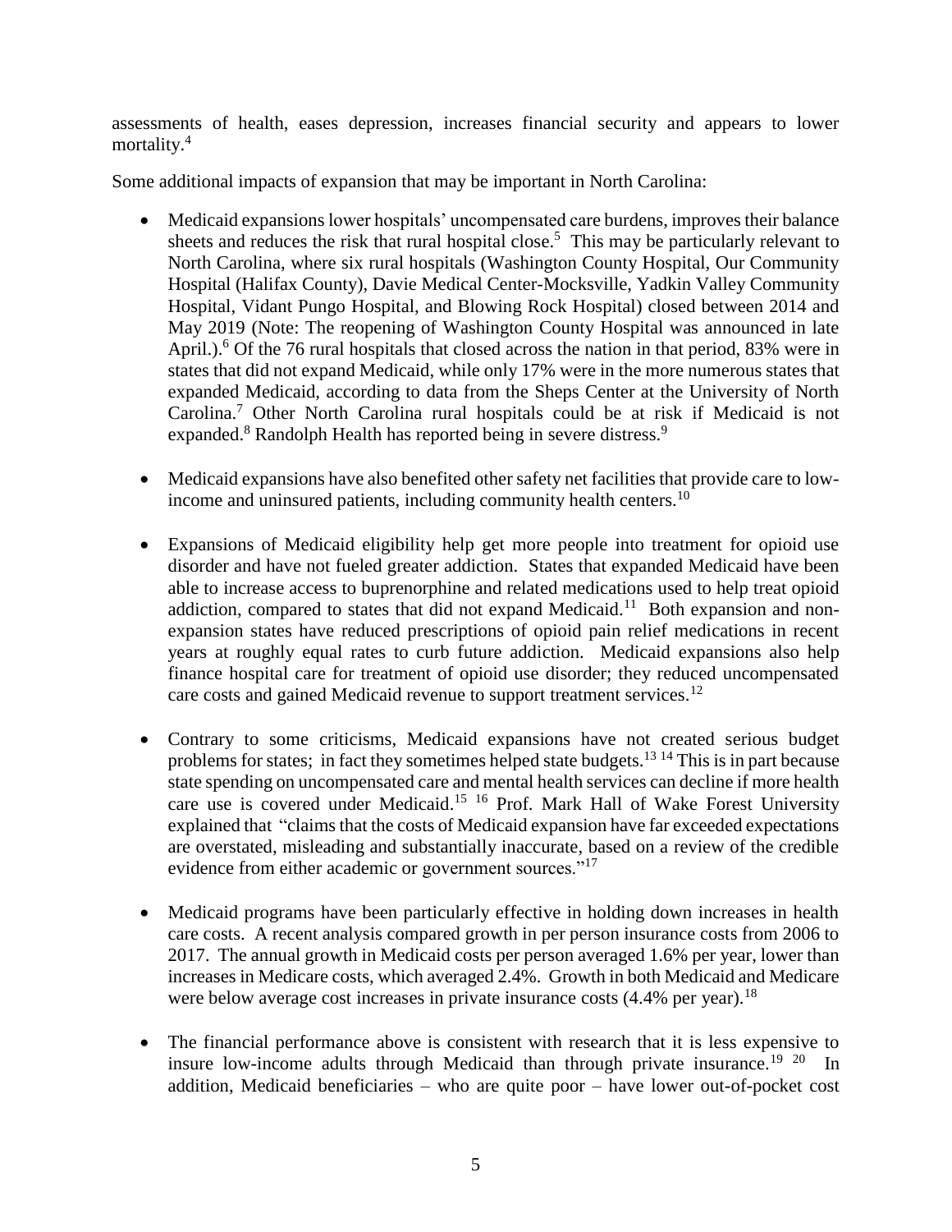assessments of health, eases depression, increases financial security and appears to lower mortality.<sup>4</sup>

Some additional impacts of expansion that may be important in North Carolina:

- Medicaid expansions lower hospitals' uncompensated care burdens, improves their balance sheets and reduces the risk that rural hospital close.<sup>5</sup> This may be particularly relevant to North Carolina, where six rural hospitals (Washington County Hospital, Our Community Hospital (Halifax County), Davie Medical Center-Mocksville, Yadkin Valley Community Hospital, Vidant Pungo Hospital, and Blowing Rock Hospital) closed between 2014 and May 2019 (Note: The reopening of Washington County Hospital was announced in late April.).<sup>6</sup> Of the 76 rural hospitals that closed across the nation in that period, 83% were in states that did not expand Medicaid, while only 17% were in the more numerous states that expanded Medicaid, according to data from the Sheps Center at the University of North Carolina.<sup>7</sup> Other North Carolina rural hospitals could be at risk if Medicaid is not expanded.<sup>8</sup> Randolph Health has reported being in severe distress.<sup>9</sup>
- Medicaid expansions have also benefited other safety net facilities that provide care to lowincome and uninsured patients, including community health centers.<sup>10</sup>
- Expansions of Medicaid eligibility help get more people into treatment for opioid use disorder and have not fueled greater addiction. States that expanded Medicaid have been able to increase access to buprenorphine and related medications used to help treat opioid addiction, compared to states that did not expand Medicaid.<sup>11</sup> Both expansion and nonexpansion states have reduced prescriptions of opioid pain relief medications in recent years at roughly equal rates to curb future addiction. Medicaid expansions also help finance hospital care for treatment of opioid use disorder; they reduced uncompensated care costs and gained Medicaid revenue to support treatment services.<sup>12</sup>
- Contrary to some criticisms, Medicaid expansions have not created serious budget problems for states; in fact they sometimes helped state budgets.<sup>13</sup> <sup>14</sup> This is in part because state spending on uncompensated care and mental health services can decline if more health care use is covered under Medicaid. <sup>15</sup> <sup>16</sup> Prof. Mark Hall of Wake Forest University explained that "claims that the costs of Medicaid expansion have far exceeded expectations are overstated, misleading and substantially inaccurate, based on a review of the credible evidence from either academic or government sources."<sup>17</sup>
- Medicaid programs have been particularly effective in holding down increases in health care costs. A recent analysis compared growth in per person insurance costs from 2006 to 2017. The annual growth in Medicaid costs per person averaged 1.6% per year, lower than increases in Medicare costs, which averaged 2.4%. Growth in both Medicaid and Medicare were below average cost increases in private insurance costs  $(4.4\%$  per year).<sup>18</sup>
- The financial performance above is consistent with research that it is less expensive to insure low-income adults through Medicaid than through private insurance.<sup>19</sup>  $20$  In addition, Medicaid beneficiaries – who are quite poor – have lower out-of-pocket cost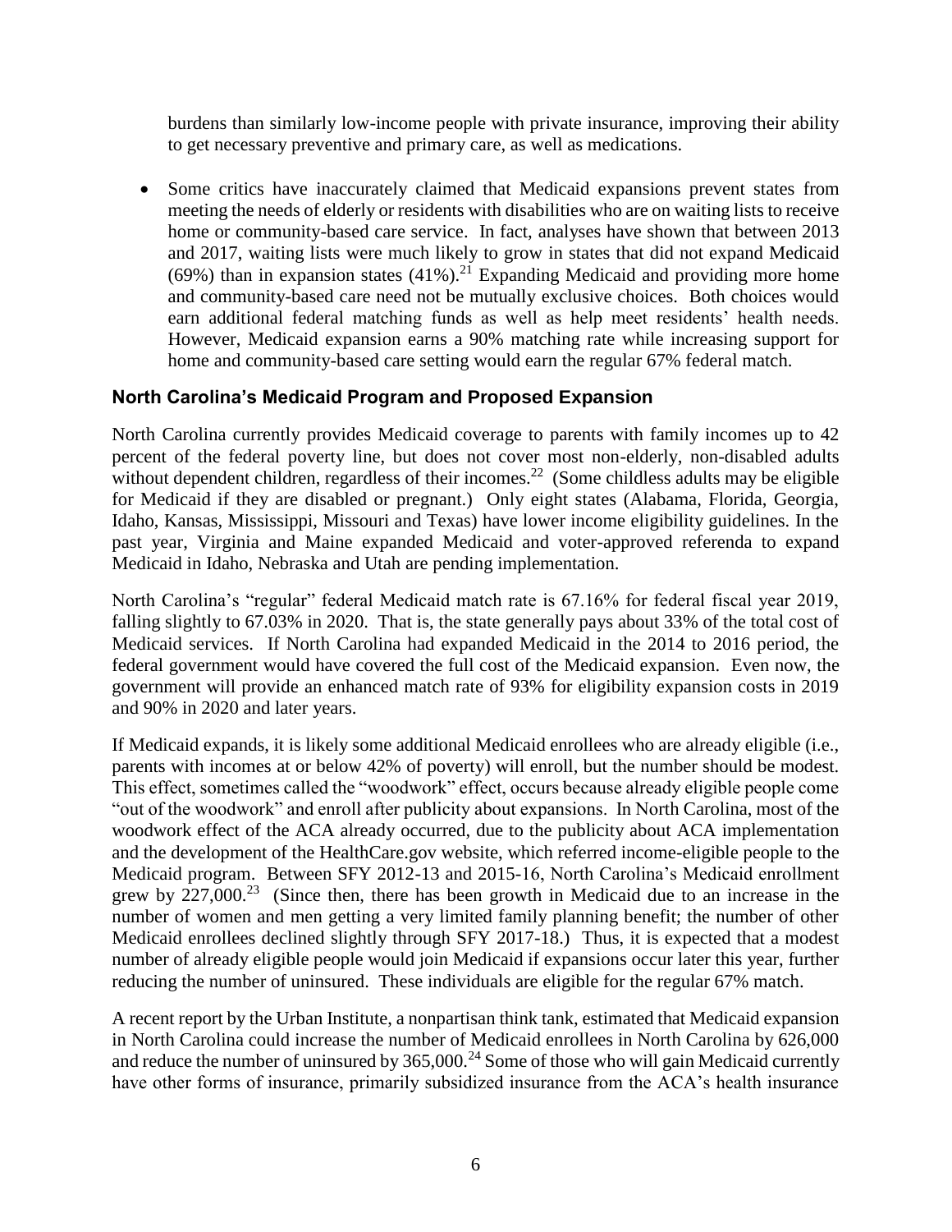burdens than similarly low-income people with private insurance, improving their ability to get necessary preventive and primary care, as well as medications.

• Some critics have inaccurately claimed that Medicaid expansions prevent states from meeting the needs of elderly or residents with disabilities who are on waiting lists to receive home or community-based care service. In fact, analyses have shown that between 2013 and 2017, waiting lists were much likely to grow in states that did not expand Medicaid (69%) than in expansion states  $(41\%)$ .<sup>21</sup> Expanding Medicaid and providing more home and community-based care need not be mutually exclusive choices. Both choices would earn additional federal matching funds as well as help meet residents' health needs. However, Medicaid expansion earns a 90% matching rate while increasing support for home and community-based care setting would earn the regular 67% federal match.

# **North Carolina's Medicaid Program and Proposed Expansion**

North Carolina currently provides Medicaid coverage to parents with family incomes up to 42 percent of the federal poverty line, but does not cover most non-elderly, non-disabled adults without dependent children, regardless of their incomes.<sup>22</sup> (Some childless adults may be eligible for Medicaid if they are disabled or pregnant.) Only eight states (Alabama, Florida, Georgia, Idaho, Kansas, Mississippi, Missouri and Texas) have lower income eligibility guidelines. In the past year, Virginia and Maine expanded Medicaid and voter-approved referenda to expand Medicaid in Idaho, Nebraska and Utah are pending implementation.

North Carolina's "regular" federal Medicaid match rate is 67.16% for federal fiscal year 2019, falling slightly to 67.03% in 2020. That is, the state generally pays about 33% of the total cost of Medicaid services. If North Carolina had expanded Medicaid in the 2014 to 2016 period, the federal government would have covered the full cost of the Medicaid expansion. Even now, the government will provide an enhanced match rate of 93% for eligibility expansion costs in 2019 and 90% in 2020 and later years.

If Medicaid expands, it is likely some additional Medicaid enrollees who are already eligible (i.e., parents with incomes at or below 42% of poverty) will enroll, but the number should be modest. This effect, sometimes called the "woodwork" effect, occurs because already eligible people come "out of the woodwork" and enroll after publicity about expansions. In North Carolina, most of the woodwork effect of the ACA already occurred, due to the publicity about ACA implementation and the development of the HealthCare.gov website, which referred income-eligible people to the Medicaid program. Between SFY 2012-13 and 2015-16, North Carolina's Medicaid enrollment grew by  $227,000$ <sup>23</sup> (Since then, there has been growth in Medicaid due to an increase in the number of women and men getting a very limited family planning benefit; the number of other Medicaid enrollees declined slightly through SFY 2017-18.) Thus, it is expected that a modest number of already eligible people would join Medicaid if expansions occur later this year, further reducing the number of uninsured. These individuals are eligible for the regular 67% match.

A recent report by the Urban Institute, a nonpartisan think tank, estimated that Medicaid expansion in North Carolina could increase the number of Medicaid enrollees in North Carolina by 626,000 and reduce the number of uninsured by  $365,000$ .<sup>24</sup> Some of those who will gain Medicaid currently have other forms of insurance, primarily subsidized insurance from the ACA's health insurance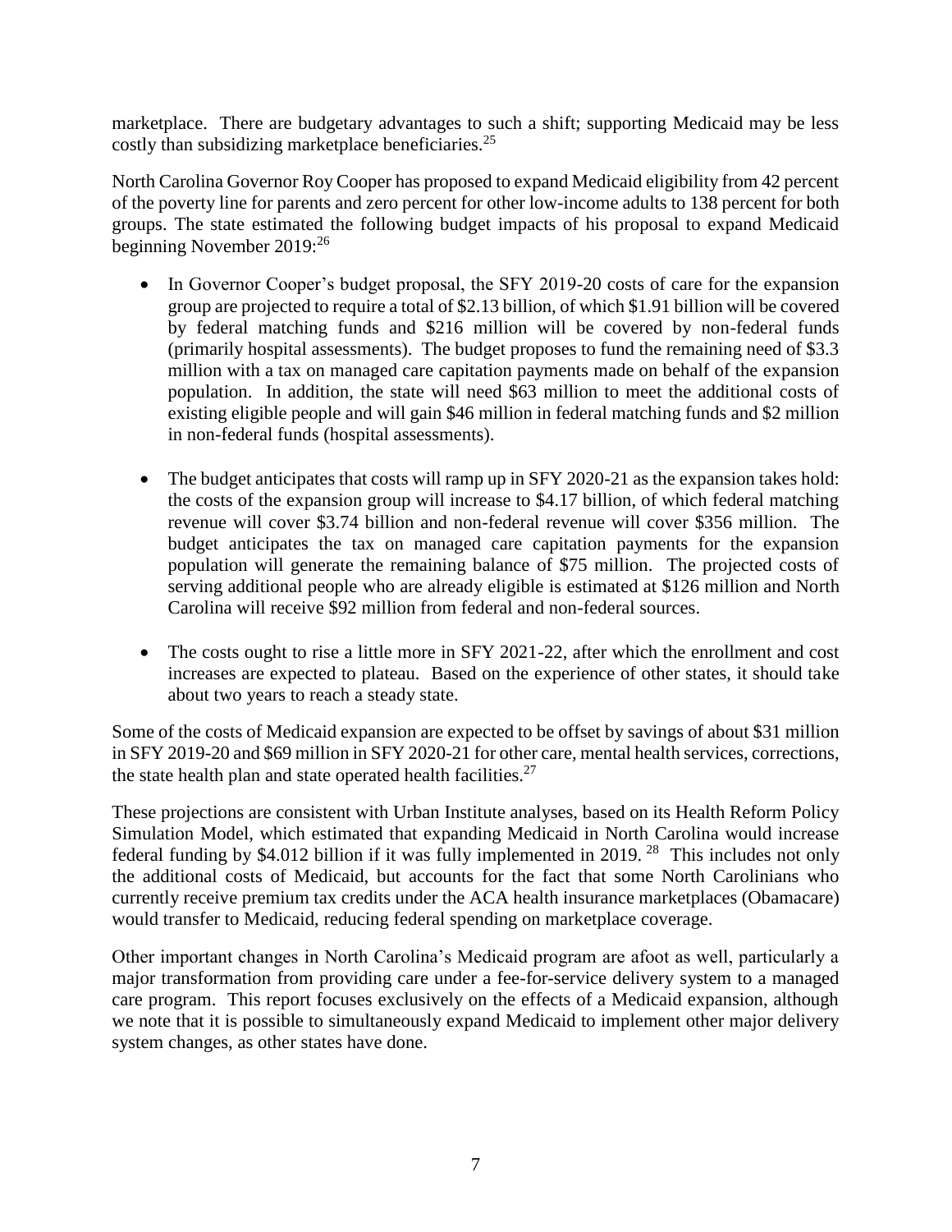marketplace. There are budgetary advantages to such a shift; supporting Medicaid may be less costly than subsidizing marketplace beneficiaries.<sup>25</sup>

North Carolina Governor Roy Cooper has proposed to expand Medicaid eligibility from 42 percent of the poverty line for parents and zero percent for other low-income adults to 138 percent for both groups. The state estimated the following budget impacts of his proposal to expand Medicaid beginning November 2019:<sup>26</sup>

- In Governor Cooper's budget proposal, the SFY 2019-20 costs of care for the expansion group are projected to require a total of \$2.13 billion, of which \$1.91 billion will be covered by federal matching funds and \$216 million will be covered by non-federal funds (primarily hospital assessments). The budget proposes to fund the remaining need of \$3.3 million with a tax on managed care capitation payments made on behalf of the expansion population. In addition, the state will need \$63 million to meet the additional costs of existing eligible people and will gain \$46 million in federal matching funds and \$2 million in non-federal funds (hospital assessments).
- The budget anticipates that costs will ramp up in SFY 2020-21 as the expansion takes hold: the costs of the expansion group will increase to \$4.17 billion, of which federal matching revenue will cover \$3.74 billion and non-federal revenue will cover \$356 million. The budget anticipates the tax on managed care capitation payments for the expansion population will generate the remaining balance of \$75 million. The projected costs of serving additional people who are already eligible is estimated at \$126 million and North Carolina will receive \$92 million from federal and non-federal sources.
- The costs ought to rise a little more in SFY 2021-22, after which the enrollment and cost increases are expected to plateau. Based on the experience of other states, it should take about two years to reach a steady state.

Some of the costs of Medicaid expansion are expected to be offset by savings of about \$31 million in SFY 2019-20 and \$69 million in SFY 2020-21 for other care, mental health services, corrections, the state health plan and state operated health facilities. $27$ 

These projections are consistent with Urban Institute analyses, based on its Health Reform Policy Simulation Model, which estimated that expanding Medicaid in North Carolina would increase federal funding by \$4.012 billion if it was fully implemented in 2019.<sup>28</sup> This includes not only the additional costs of Medicaid, but accounts for the fact that some North Carolinians who currently receive premium tax credits under the ACA health insurance marketplaces (Obamacare) would transfer to Medicaid, reducing federal spending on marketplace coverage.

Other important changes in North Carolina's Medicaid program are afoot as well, particularly a major transformation from providing care under a fee-for-service delivery system to a managed care program. This report focuses exclusively on the effects of a Medicaid expansion, although we note that it is possible to simultaneously expand Medicaid to implement other major delivery system changes, as other states have done.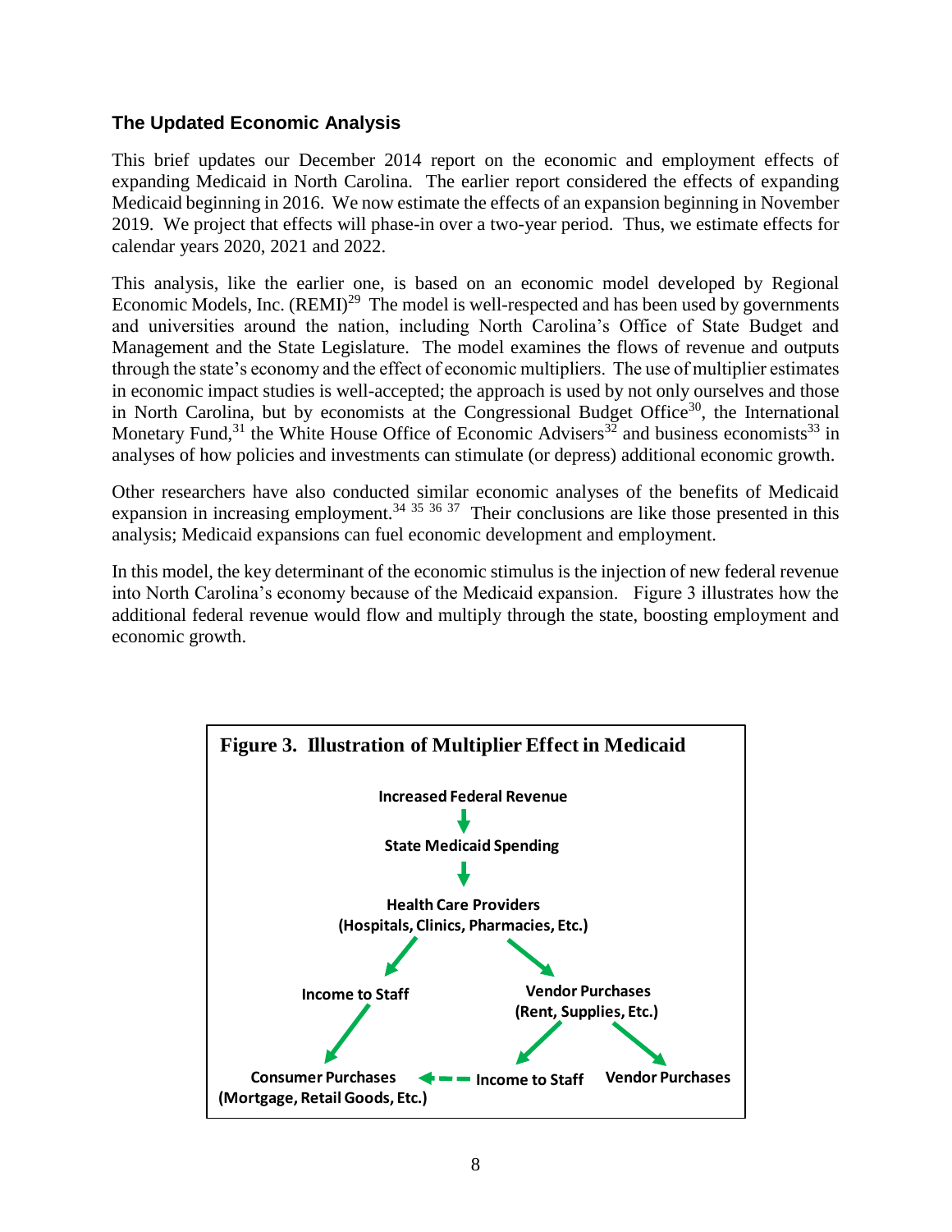## **The Updated Economic Analysis**

This brief updates our December 2014 report on the economic and employment effects of expanding Medicaid in North Carolina. The earlier report considered the effects of expanding Medicaid beginning in 2016. We now estimate the effects of an expansion beginning in November 2019. We project that effects will phase-in over a two-year period. Thus, we estimate effects for calendar years 2020, 2021 and 2022.

This analysis, like the earlier one, is based on an economic model developed by Regional Economic Models, Inc.  $(REMI)^{29}$  The model is well-respected and has been used by governments and universities around the nation, including North Carolina's Office of State Budget and Management and the State Legislature. The model examines the flows of revenue and outputs through the state's economy and the effect of economic multipliers. The use of multiplier estimates in economic impact studies is well-accepted; the approach is used by not only ourselves and those in North Carolina, but by economists at the Congressional Budget Office<sup>30</sup>, the International Monetary Fund,<sup>31</sup> the White House Office of Economic Advisers<sup>32</sup> and business economists<sup>33</sup> in analyses of how policies and investments can stimulate (or depress) additional economic growth.

Other researchers have also conducted similar economic analyses of the benefits of Medicaid expansion in increasing employment.<sup>34 35 36 37</sup> Their conclusions are like those presented in this analysis; Medicaid expansions can fuel economic development and employment.

In this model, the key determinant of the economic stimulus is the injection of new federal revenue into North Carolina's economy because of the Medicaid expansion. Figure 3 illustrates how the additional federal revenue would flow and multiply through the state, boosting employment and economic growth.

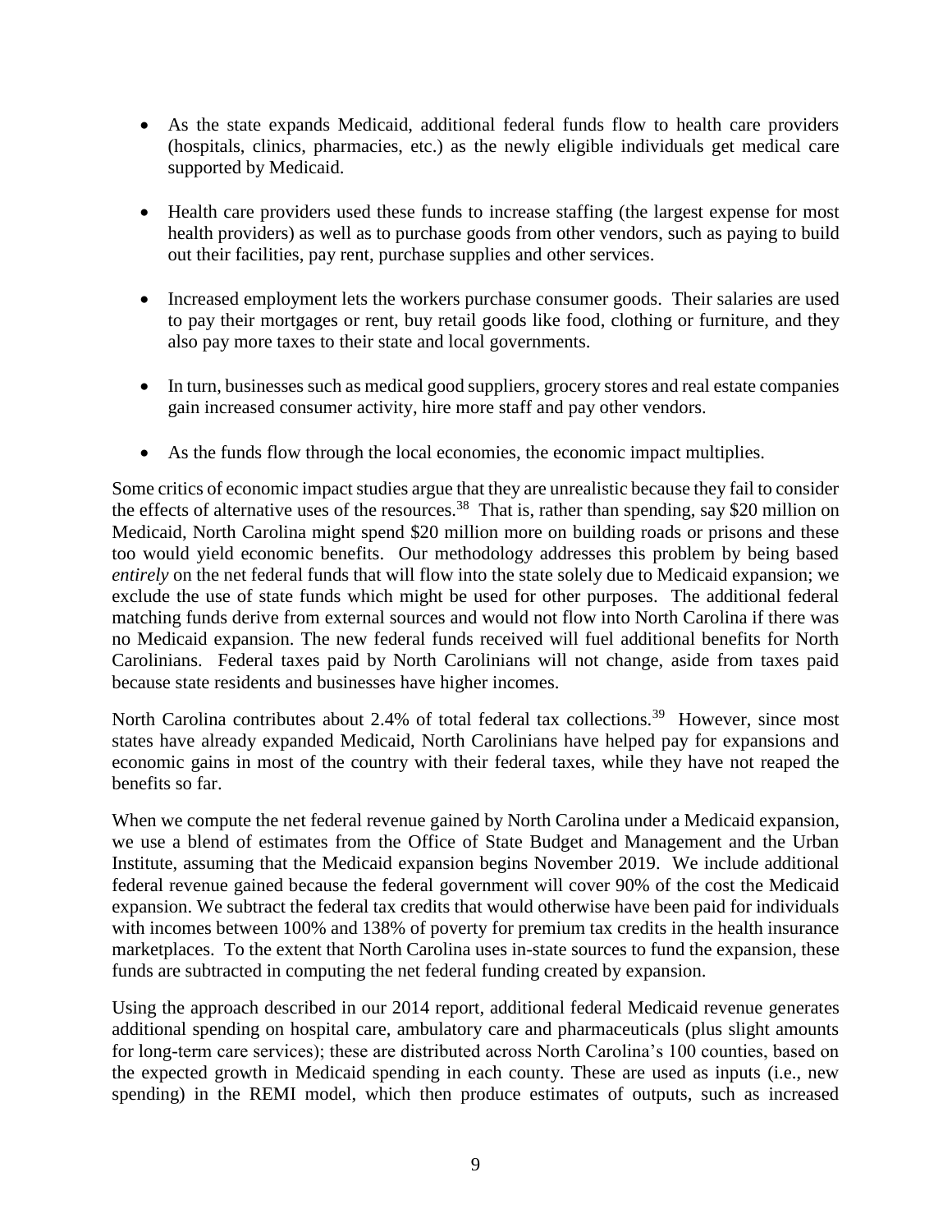- As the state expands Medicaid, additional federal funds flow to health care providers (hospitals, clinics, pharmacies, etc.) as the newly eligible individuals get medical care supported by Medicaid.
- Health care providers used these funds to increase staffing (the largest expense for most health providers) as well as to purchase goods from other vendors, such as paying to build out their facilities, pay rent, purchase supplies and other services.
- Increased employment lets the workers purchase consumer goods. Their salaries are used to pay their mortgages or rent, buy retail goods like food, clothing or furniture, and they also pay more taxes to their state and local governments.
- In turn, businesses such as medical good suppliers, grocery stores and real estate companies gain increased consumer activity, hire more staff and pay other vendors.
- As the funds flow through the local economies, the economic impact multiplies.

Some critics of economic impact studies argue that they are unrealistic because they fail to consider the effects of alternative uses of the resources.<sup>38</sup> That is, rather than spending, say \$20 million on Medicaid, North Carolina might spend \$20 million more on building roads or prisons and these too would yield economic benefits. Our methodology addresses this problem by being based *entirely* on the net federal funds that will flow into the state solely due to Medicaid expansion; we exclude the use of state funds which might be used for other purposes. The additional federal matching funds derive from external sources and would not flow into North Carolina if there was no Medicaid expansion. The new federal funds received will fuel additional benefits for North Carolinians. Federal taxes paid by North Carolinians will not change, aside from taxes paid because state residents and businesses have higher incomes.

North Carolina contributes about 2.4% of total federal tax collections.<sup>39</sup> However, since most states have already expanded Medicaid, North Carolinians have helped pay for expansions and economic gains in most of the country with their federal taxes, while they have not reaped the benefits so far.

When we compute the net federal revenue gained by North Carolina under a Medicaid expansion, we use a blend of estimates from the Office of State Budget and Management and the Urban Institute, assuming that the Medicaid expansion begins November 2019. We include additional federal revenue gained because the federal government will cover 90% of the cost the Medicaid expansion. We subtract the federal tax credits that would otherwise have been paid for individuals with incomes between 100% and 138% of poverty for premium tax credits in the health insurance marketplaces. To the extent that North Carolina uses in-state sources to fund the expansion, these funds are subtracted in computing the net federal funding created by expansion.

Using the approach described in our 2014 report, additional federal Medicaid revenue generates additional spending on hospital care, ambulatory care and pharmaceuticals (plus slight amounts for long-term care services); these are distributed across North Carolina's 100 counties, based on the expected growth in Medicaid spending in each county. These are used as inputs (i.e., new spending) in the REMI model, which then produce estimates of outputs, such as increased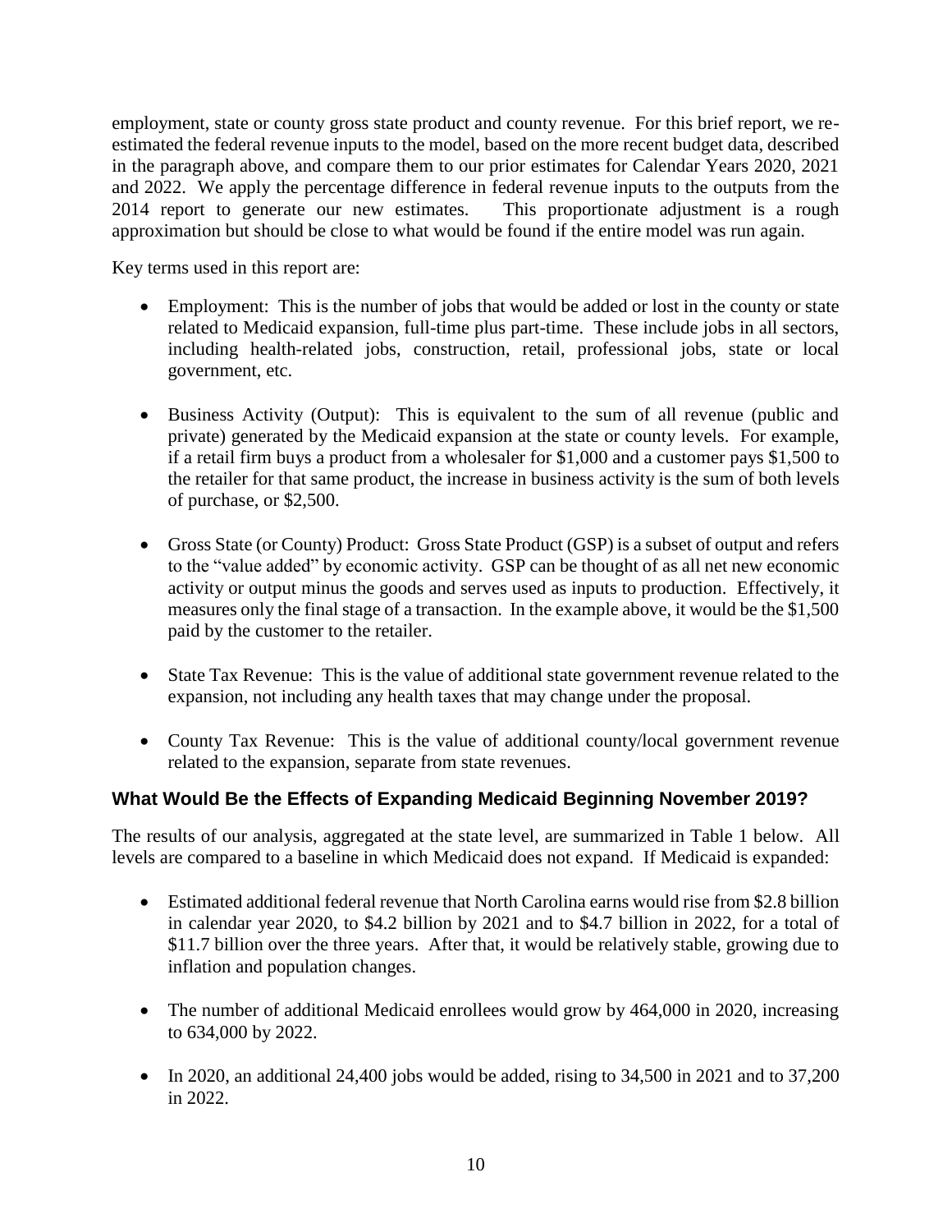employment, state or county gross state product and county revenue. For this brief report, we reestimated the federal revenue inputs to the model, based on the more recent budget data, described in the paragraph above, and compare them to our prior estimates for Calendar Years 2020, 2021 and 2022. We apply the percentage difference in federal revenue inputs to the outputs from the 2014 report to generate our new estimates. This proportionate adjustment is a rough 2014 report to generate our new estimates. approximation but should be close to what would be found if the entire model was run again.

Key terms used in this report are:

- Employment: This is the number of jobs that would be added or lost in the county or state related to Medicaid expansion, full-time plus part-time. These include jobs in all sectors, including health-related jobs, construction, retail, professional jobs, state or local government, etc.
- Business Activity (Output): This is equivalent to the sum of all revenue (public and private) generated by the Medicaid expansion at the state or county levels. For example, if a retail firm buys a product from a wholesaler for \$1,000 and a customer pays \$1,500 to the retailer for that same product, the increase in business activity is the sum of both levels of purchase, or \$2,500.
- Gross State (or County) Product: Gross State Product (GSP) is a subset of output and refers to the "value added" by economic activity. GSP can be thought of as all net new economic activity or output minus the goods and serves used as inputs to production. Effectively, it measures only the final stage of a transaction. In the example above, it would be the \$1,500 paid by the customer to the retailer.
- State Tax Revenue: This is the value of additional state government revenue related to the expansion, not including any health taxes that may change under the proposal.
- County Tax Revenue: This is the value of additional county/local government revenue related to the expansion, separate from state revenues.

# **What Would Be the Effects of Expanding Medicaid Beginning November 2019?**

The results of our analysis, aggregated at the state level, are summarized in Table 1 below. All levels are compared to a baseline in which Medicaid does not expand. If Medicaid is expanded:

- Estimated additional federal revenue that North Carolina earns would rise from \$2.8 billion in calendar year 2020, to \$4.2 billion by 2021 and to \$4.7 billion in 2022, for a total of \$11.7 billion over the three years. After that, it would be relatively stable, growing due to inflation and population changes.
- The number of additional Medicaid enrollees would grow by 464,000 in 2020, increasing to 634,000 by 2022.
- In 2020, an additional 24,400 jobs would be added, rising to 34,500 in 2021 and to 37,200 in 2022.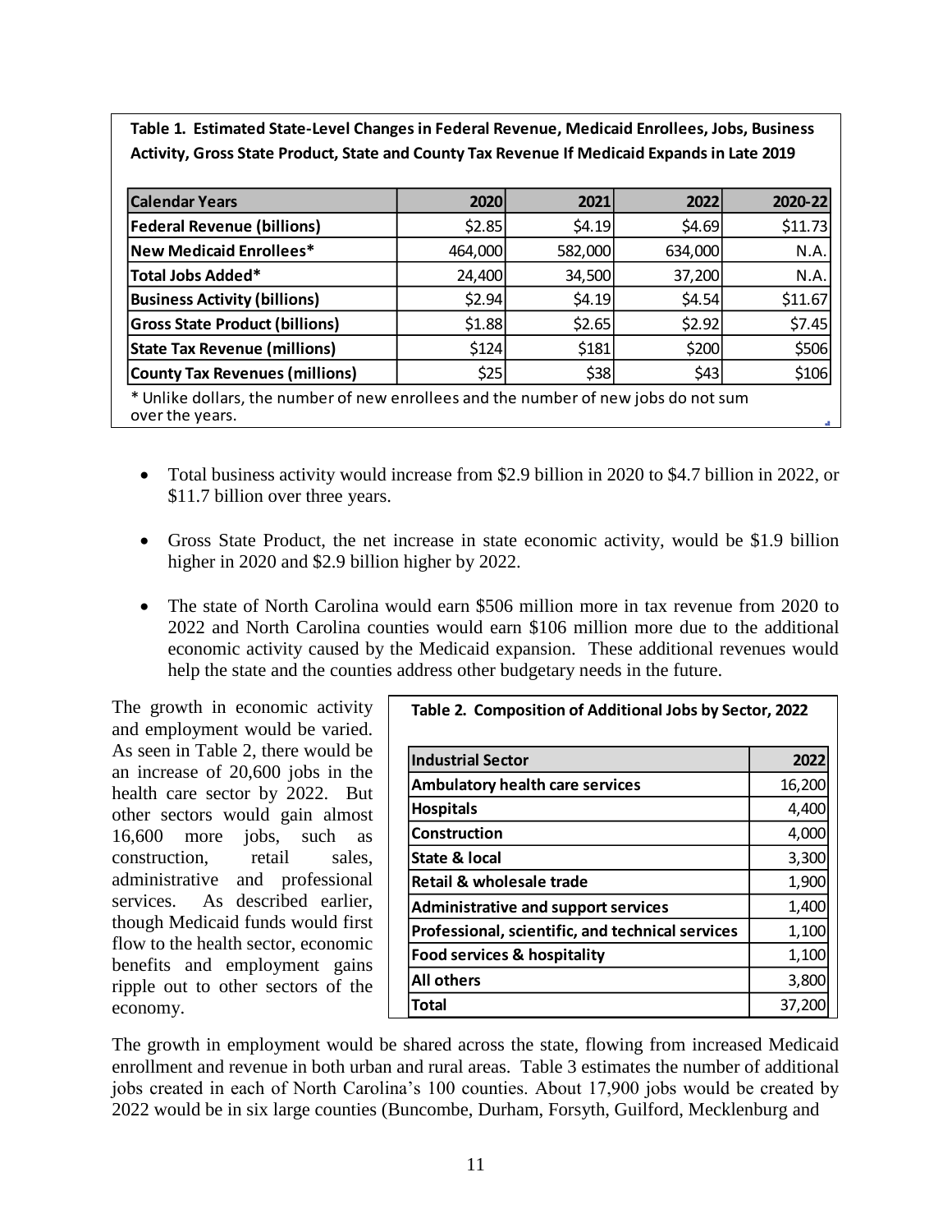**Table 1. Estimated State-Level Changes in Federal Revenue, Medicaid Enrollees, Jobs, Business Activity, Gross State Product, State and County Tax Revenue If Medicaid Expands in Late 2019**

| <b>Calendar Years</b>                                                                                  | 2020    | 2021    | 2022    | 2020-22 |  |  |  |
|--------------------------------------------------------------------------------------------------------|---------|---------|---------|---------|--|--|--|
| <b>Federal Revenue (billions)</b>                                                                      | \$2.85  | \$4.19  | \$4.69  | \$11.73 |  |  |  |
| <b>New Medicaid Enrollees*</b>                                                                         | 464,000 | 582,000 | 634,000 | N.A.    |  |  |  |
| <b>Total Jobs Added*</b>                                                                               | 24,400  | 34,500  | 37,200  | N.A.    |  |  |  |
| <b>Business Activity (billions)</b>                                                                    | \$2.94  | \$4.19  | \$4.54  | \$11.67 |  |  |  |
| <b>Gross State Product (billions)</b>                                                                  | \$1.88  | \$2.65  | \$2.92  | \$7.45  |  |  |  |
| <b>State Tax Revenue (millions)</b>                                                                    | \$124   | \$181   | \$200   | \$506   |  |  |  |
| <b>County Tax Revenues (millions)</b>                                                                  | \$25    | \$38    | \$43    | \$106   |  |  |  |
| * Unlike dollars, the number of new enrollees and the number of new jobs do not sum<br>over the years. |         |         |         |         |  |  |  |

- Total business activity would increase from \$2.9 billion in 2020 to \$4.7 billion in 2022, or \$11.7 billion over three years.
- Gross State Product, the net increase in state economic activity, would be \$1.9 billion higher in 2020 and \$2.9 billion higher by 2022.
- The state of North Carolina would earn \$506 million more in tax revenue from 2020 to 2022 and North Carolina counties would earn \$106 million more due to the additional economic activity caused by the Medicaid expansion. These additional revenues would help the state and the counties address other budgetary needs in the future.

The growth in economic activity and employment would be varied. As seen in Table 2, there would be an increase of 20,600 jobs in the health care sector by 2022. But other sectors would gain almost 16,600 more jobs, such as construction, retail sales, administrative and professional services. As described earlier, though Medicaid funds would first flow to the health sector, economic benefits and employment gains ripple out to other sectors of the economy.

| Table 2. Composition of Additional Jobs by Sector, 2022 |        |  |  |  |  |
|---------------------------------------------------------|--------|--|--|--|--|
| <b>Industrial Sector</b>                                | 2022   |  |  |  |  |
| <b>Ambulatory health care services</b>                  | 16,200 |  |  |  |  |
| <b>Hospitals</b>                                        | 4,400  |  |  |  |  |
| Construction                                            | 4,000  |  |  |  |  |
| State & local                                           | 3,300  |  |  |  |  |
| Retail & wholesale trade                                | 1,900  |  |  |  |  |
| <b>Administrative and support services</b>              | 1,400  |  |  |  |  |
| <b>Professional, scientific, and technical services</b> | 1,100  |  |  |  |  |
| Food services & hospitality                             | 1,100  |  |  |  |  |
| <b>All others</b>                                       | 3,800  |  |  |  |  |
| Total                                                   | 37,20  |  |  |  |  |

The growth in employment would be shared across the state, flowing from increased Medicaid enrollment and revenue in both urban and rural areas. Table 3 estimates the number of additional jobs created in each of North Carolina's 100 counties. About 17,900 jobs would be created by 2022 would be in six large counties (Buncombe, Durham, Forsyth, Guilford, Mecklenburg and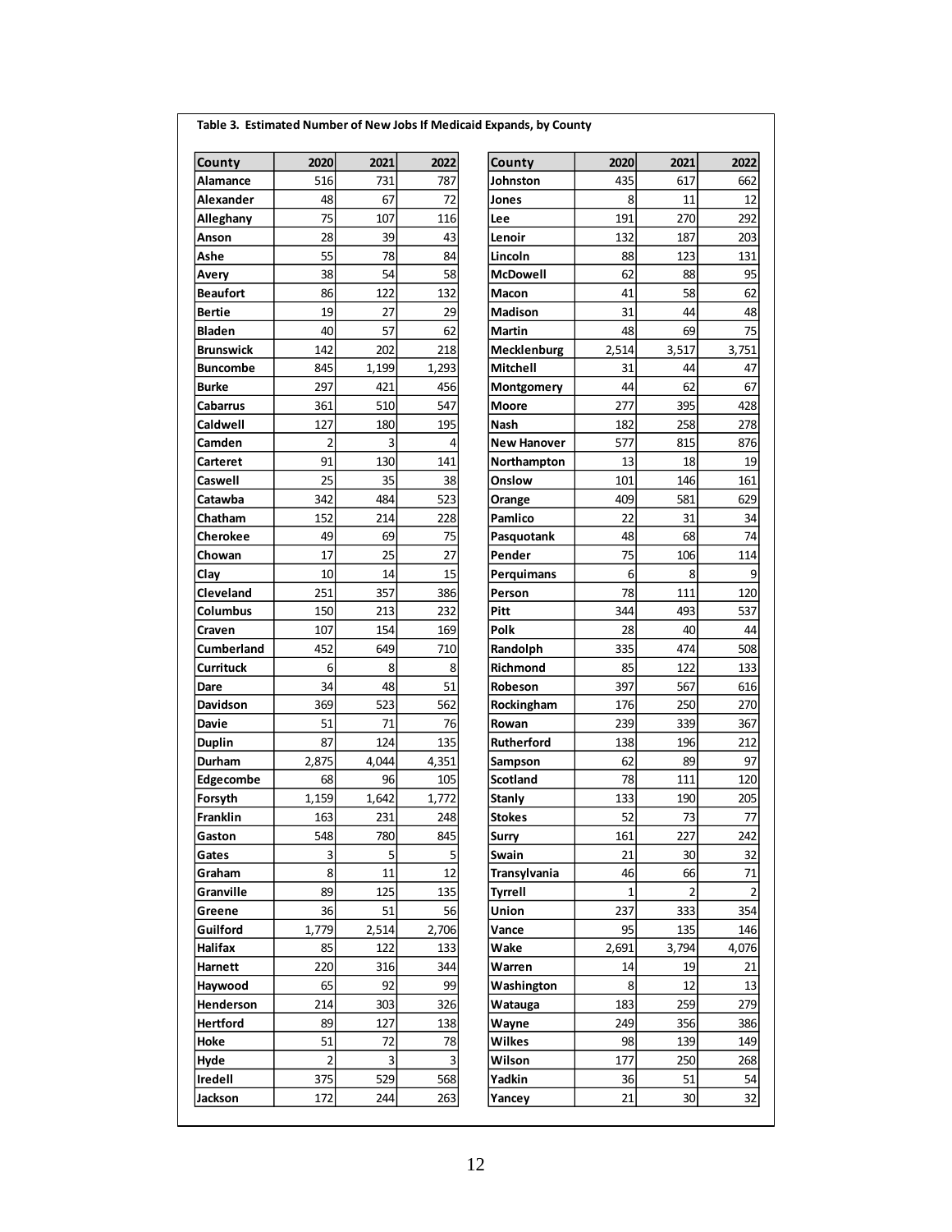| County            | 2020           | 2021  | 2022  |
|-------------------|----------------|-------|-------|
| Alamance          | 516            | 731   | 787   |
| Alexander         | 48             | 67    | 72    |
| Alleghany         | 75             | 107   | 116   |
| Anson             | 28             | 39    | 43    |
| Ashe              | 55             | 78    | 84    |
| Avery             | 38             | 54    | 58    |
| <b>Beaufort</b>   | 86             | 122   | 132   |
| <b>Bertie</b>     | 19             | 27    | 29    |
| <b>Bladen</b>     | 40             | 57    | 62    |
| <b>Brunswick</b>  | 142            | 202   | 218   |
| <b>Buncombe</b>   | 845            | 1,199 | 1,293 |
| <b>Burke</b>      | 297            | 421   | 456   |
| Cabarrus          | 361            | 510   | 547   |
| Caldwell          | 127            | 180   | 195   |
| Camden            | 2              | 3     | 4     |
| Carteret          | 91             | 130   | 141   |
| Caswell           | 25             | 35    | 38    |
| Catawba           | 342            | 484   | 523   |
| Chatham           | 152            | 214   | 228   |
| <b>Cherokee</b>   | 49             | 69    | 75    |
| Chowan            | 17             | 25    | 27    |
|                   |                |       |       |
| Clay              | 10<br>251      | 14    | 15    |
| Cleveland         |                | 357   | 386   |
| Columbus          | 150            | 213   | 232   |
| Craven            | 107            | 154   | 169   |
| <b>Cumberland</b> | 452            | 649   | 710   |
| <b>Currituck</b>  | 6              | 8     | 8     |
| Dare              | 34             | 48    | 51    |
| Davidson          | 369            | 523   | 562   |
| Davie             | 51             | 71    | 76    |
| <b>Duplin</b>     | 87             | 124   | 135   |
| Durham            | 2,875          | 4,044 | 4,351 |
| Edgecombe         | 68             | 96    | 105   |
| Forsyth           | 1,159          | 1,642 | 1,772 |
| Franklin          | 163            | 231   | 248   |
| Gaston            | 548            | 780   | 845   |
| Gates             | з              | 5     | 5     |
| Graham            | 8              | 11    | 12    |
| Granville         | 89             | 125   | 135   |
| Greene            | 36             | 51    | 56    |
| Guilford          | 1,779          | 2,514 | 2,706 |
| Halifax           | 85             | 122   | 133   |
| Harnett           | 220            | 316   | 344   |
| Haywood           | 65             | 92    | 99    |
| Henderson         | 214            | 303   | 326   |
| <b>Hertford</b>   | 89             | 127   | 138   |
| Hoke              | 51             | 72    | 78    |
| Hyde              | $\overline{2}$ | 3     | 3     |
| Iredell           | 375            | 529   | 568   |
| Jackson           | 172            | 244   | 263   |

| County           | 2020           | 2021    | 2022    | County             | 2020  | 2021  | 2022  |
|------------------|----------------|---------|---------|--------------------|-------|-------|-------|
| Alamance         | 516            | 731     | 787     | Johnston           | 435   | 617   | 662   |
| Alexander        | 48             | 67      | 72      | Jones              | 8     | 11    | 12    |
| Alleghany        | 75             | 107     | 116     | Lee                | 191   | 270   | 292   |
| Anson            | 28             | 39      | 43      | Lenoir             | 132   | 187   | 203   |
| Ashe             | 55             | 78      | 84      | Lincoln            | 88    | 123   | 131   |
| Avery            | 38             | 54      | 58      | <b>McDowell</b>    | 62    | 88    | 95    |
| Beaufort         | 86             | 122     | 132     | <b>Macon</b>       | 41    | 58    | 62    |
| Bertie           | 19             | 27      | 29      | <b>Madison</b>     | 31    | 44    | 48    |
| <b>Bladen</b>    | 40             | 57      | 62      | Martin             | 48    | 69    | 75    |
| Brunswick        | 142            | 202     | 218     | Mecklenburg        | 2,514 | 3,517 | 3,751 |
| Buncombe         | 845            | 1,199   | 1,293   | Mitchell           | 31    | 44    | 47    |
| Burke            | 297            | 421     | 456     | Montgomery         | 44    | 62    | 67    |
| Cabarrus         | 361            | 510     | 547     | <b>Moore</b>       | 277   | 395   | 428   |
| Caldwell         | 127            | 180     | 195     | Nash               | 182   | 258   | 278   |
| Camden           | $\overline{2}$ | 3       | 4       | <b>New Hanover</b> | 577   | 815   | 876   |
| Carteret         | 91             | 130     | 141     | Northampton        | 13    | 18    | 19    |
| Caswell          | 25             | 35      | 38      | Onslow             | 101   | 146   | 161   |
| Catawba          | 342            | 484     | 523     | Orange             | 409   | 581   | 629   |
| Chatham          | 152            | 214     | 228     | Pamlico            | 22    | 31    | 34    |
| Cherokee         | 49             | 69      | 75      | Pasquotank         | 48    | 68    | 74    |
| Chowan           | 17             | 25      | 27      | Pender             | 75    | 106   | 114   |
| Clay             | 10             | 14      | 15      | Perguimans         | 6     | 8     | 9     |
| Cleveland        | 251            | 357     | 386     | Person             | 78    | 111   | 120   |
| Columbus         | 150            | 213     | 232     | Pitt               | 344   | 493   | 537   |
| Craven           | 107            | 154     | 169     | Polk               | 28    | 40    | 44    |
| Cumberland       | 452            | 649     | 710     | Randolph           | 335   | 474   | 508   |
| Currituck        | 6              | 8       | 8       | <b>Richmond</b>    | 85    | 122   | 133   |
| Dare             | 34             | 48      | 51      | Robeson            | 397   | 567   | 616   |
| Davidson         | 369            | 523     | 562     | Rockingham         | 176   | 250   | 270   |
| Davie            | 51             | 71      | 76      | Rowan              | 239   | 339   | 367   |
| Duplin           | 87             | 124     | 135     | <b>Rutherford</b>  | 138   | 196   | 212   |
| Durham           | 2,875          | 4,044   | 4,351   | Sampson            | 62    | 89    | 97    |
| <b>Edgecombe</b> | 68             | 96      | 105     | <b>Scotland</b>    | 78    | 111   | 120   |
| Forsyth          | 1,159          | 1,642   | 1,772   | <b>Stanly</b>      | 133   | 190   | 205   |
| Franklin         | 163            | 231     | 248     | <b>Stokes</b>      | 52    | 73    | 77    |
| Gaston           | 548            | 780     | 845     | Surry              | 161   | 227   | 242   |
| Gates            | 3              | 5       | 5       | <b>Swain</b>       | 21    | 30    | 32    |
| Graham           | 8              | 11      | 12      | Transylvania       | 46    | 66    | 71    |
| Granville        | 89             | 125     | 135     | Tyrrell            | 1     | 2     | 2     |
| Greene           | 36             | 51      | 56      | Union              | 237   | 333   | 354   |
| Guilford         | 1,779          | 2,514   | 2,706   | Vance              | 95    | 135   | 146   |
| Halifax          | 85             | 122     | 133     | Wake               | 2,691 | 3,794 | 4,076 |
| Harnett          | 220            | 316     | 344     | Warren             | 14    | 19    | 21    |
| Haywood          | 65             | 92      | 99      | Washington         | 8     | 12    | 13    |
| Henderson        | 214            | 303     | 326     | Watauga            | 183   | 259   | 279   |
| Hertford         | 89             | 127     | 138     | Wayne              | 249   | 356   | 386   |
|                  | 51             |         |         |                    |       |       |       |
| Hoke             | $\overline{2}$ | 72<br>3 | 78<br>3 | Wilkes<br>Wilson   | 98    | 139   | 149   |
| Hyde             |                |         |         |                    | 177   | 250   | 268   |
| Iredell          | 375            | 529     | 568     | Yadkin             | 36    | 51    | 54    |
| Jackson          | 172            | 244     | 263     | Yancey             | 21    | 30    | 32    |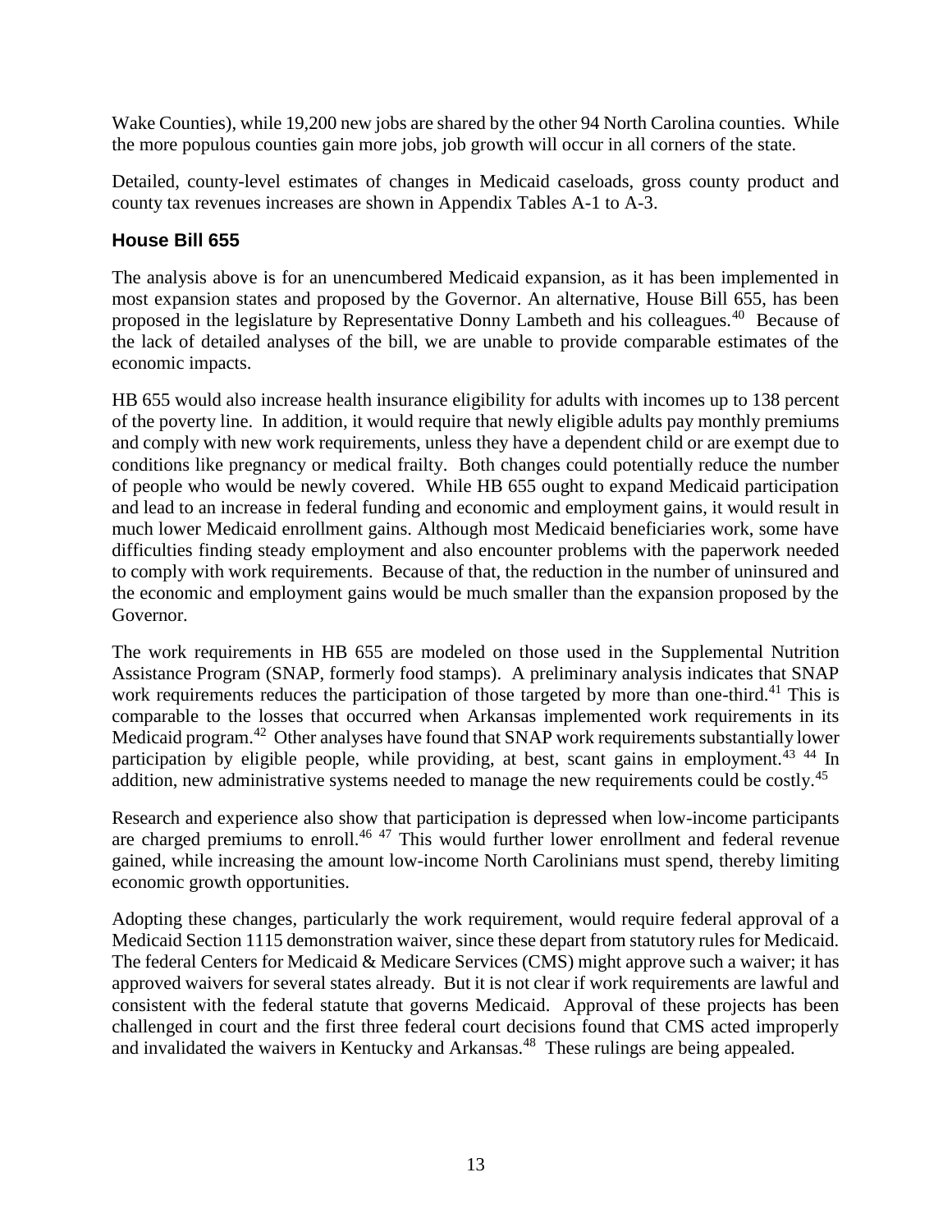Wake Counties), while 19,200 new jobs are shared by the other 94 North Carolina counties. While the more populous counties gain more jobs, job growth will occur in all corners of the state.

Detailed, county-level estimates of changes in Medicaid caseloads, gross county product and county tax revenues increases are shown in Appendix Tables A-1 to A-3.

## **House Bill 655**

The analysis above is for an unencumbered Medicaid expansion, as it has been implemented in most expansion states and proposed by the Governor. An alternative, House Bill 655, has been proposed in the legislature by Representative Donny Lambeth and his colleagues.<sup>40</sup> Because of the lack of detailed analyses of the bill, we are unable to provide comparable estimates of the economic impacts.

HB 655 would also increase health insurance eligibility for adults with incomes up to 138 percent of the poverty line. In addition, it would require that newly eligible adults pay monthly premiums and comply with new work requirements, unless they have a dependent child or are exempt due to conditions like pregnancy or medical frailty. Both changes could potentially reduce the number of people who would be newly covered. While HB 655 ought to expand Medicaid participation and lead to an increase in federal funding and economic and employment gains, it would result in much lower Medicaid enrollment gains. Although most Medicaid beneficiaries work, some have difficulties finding steady employment and also encounter problems with the paperwork needed to comply with work requirements. Because of that, the reduction in the number of uninsured and the economic and employment gains would be much smaller than the expansion proposed by the Governor.

The work requirements in HB 655 are modeled on those used in the Supplemental Nutrition Assistance Program (SNAP, formerly food stamps). A preliminary analysis indicates that SNAP work requirements reduces the participation of those targeted by more than one-third.<sup>41</sup> This is comparable to the losses that occurred when Arkansas implemented work requirements in its Medicaid program.<sup>42</sup> Other analyses have found that SNAP work requirements substantially lower participation by eligible people, while providing, at best, scant gains in employment.<sup>43</sup> 44 In addition, new administrative systems needed to manage the new requirements could be costly.<sup>45</sup>

Research and experience also show that participation is depressed when low-income participants are charged premiums to enroll.<sup>46 47</sup> This would further lower enrollment and federal revenue gained, while increasing the amount low-income North Carolinians must spend, thereby limiting economic growth opportunities.

Adopting these changes, particularly the work requirement, would require federal approval of a Medicaid Section 1115 demonstration waiver, since these depart from statutory rules for Medicaid. The federal Centers for Medicaid & Medicare Services (CMS) might approve such a waiver; it has approved waivers for several states already. But it is not clear if work requirements are lawful and consistent with the federal statute that governs Medicaid. Approval of these projects has been challenged in court and the first three federal court decisions found that CMS acted improperly and invalidated the waivers in Kentucky and Arkansas.<sup>48</sup> These rulings are being appealed.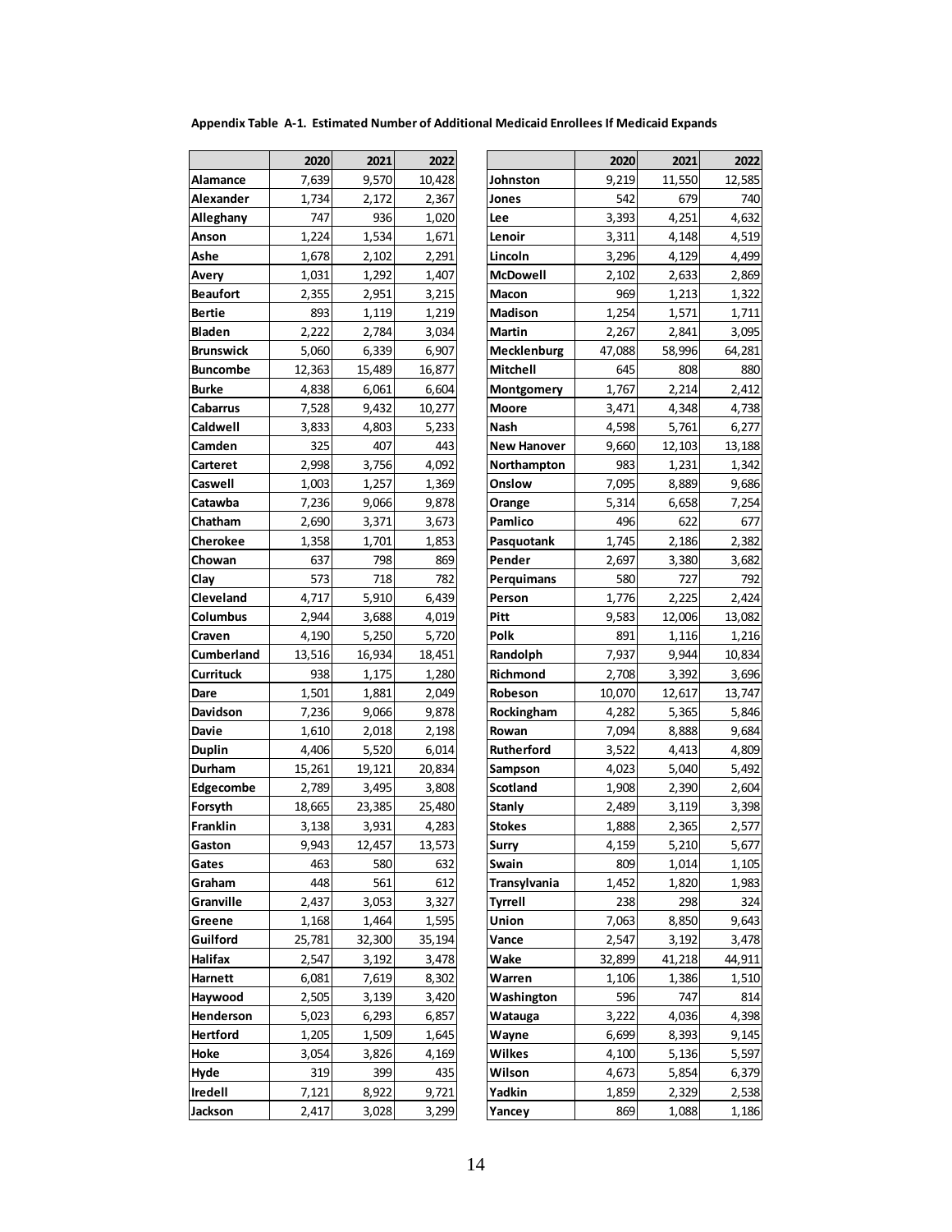**Appendix Table A-1. Estimated Number of Additional Medicaid Enrollees If Medicaid Expands**

|                  | 2020   | 2021   | 2022   |
|------------------|--------|--------|--------|
| Alamance         | 7,639  | 9,570  | 10,428 |
| Alexander        | 1,734  | 2,172  | 2,367  |
| Alleghany        | 747    | 936    | 1,020  |
| Anson            | 1,224  | 1,534  | 1,671  |
| Ashe             | 1,678  | 2,102  | 2,291  |
| Avery            | 1,031  | 1,292  | 1,407  |
| <b>Beaufort</b>  | 2,355  | 2,951  | 3,215  |
| Bertie           | 893    | 1,119  | 1,219  |
| Bladen           | 2,222  | 2,784  | 3,034  |
| Brunswick        | 5,060  | 6,339  | 6,907  |
| <b>Buncombe</b>  | 12,363 | 15,489 | 16,877 |
| <b>Burke</b>     | 4,838  | 6,061  | 6,604  |
| <b>Cabarrus</b>  | 7,528  | 9,432  | 10,277 |
| Caldwell         | 3,833  | 4,803  | 5,233  |
| Camden           | 325    | 407    | 443    |
| Carteret         | 2,998  | 3,756  | 4,092  |
| Caswell          | 1,003  | 1,257  | 1,369  |
| Catawba          | 7,236  | 9,066  | 9,878  |
| Chatham          | 2,690  | 3,371  | 3,673  |
| Cherokee         | 1,358  | 1,701  | 1,853  |
| Chowan           | 637    | 798    | 869    |
| Clay             | 573    | 718    | 782    |
| Cleveland        | 4,717  | 5,910  | 6,439  |
| Columbus         | 2,944  | 3,688  | 4,019  |
| Craven           | 4,190  | 5,250  | 5,720  |
| Cumberland       | 13,516 | 16,934 | 18,451 |
| <b>Currituck</b> | 938    | 1,175  | 1,280  |
| Dare             | 1,501  | 1,881  | 2,049  |
| Davidson         | 7,236  | 9,066  | 9,878  |
| <b>Davie</b>     | 1,610  | 2,018  | 2,198  |
| <b>Duplin</b>    | 4,406  | 5,520  | 6,014  |
| Durham           | 15,261 | 19,121 | 20,834 |
| Edgecombe        | 2,789  | 3,495  | 3,808  |
| Forsyth          | 18,665 | 23,385 | 25,480 |
| Franklin         | 3,138  | 3,931  | 4,283  |
| Gaston           | 9,943  | 12,457 | 13,573 |
| Gates            | 463    | 580    | 632    |
| Graham           | 448    | 561    | 612    |
| Granville        | 2,437  | 3,053  | 3,327  |
| Greene           | 1,168  | 1,464  | 1,595  |
| Guilford         | 25,781 | 32,300 | 35,194 |
| Halifax          | 2,547  | 3,192  | 3,478  |
| Harnett          | 6,081  | 7,619  | 8,302  |
| Haywood          | 2,505  | 3,139  | 3,420  |
| Henderson        | 5,023  | 6,293  | 6,857  |
| Hertford         | 1,205  | 1,509  | 1,645  |
| Hoke             | 3,054  | 3,826  | 4,169  |
| Hyde             | 319    | 399    | 435    |
| Iredell          | 7,121  | 8,922  | 9,721  |
| Jackson          | 2,417  | 3,028  | 3,299  |

|                  | 2020   | 2021   | 2022   |                    | 2020   | 2021   | 2022   |
|------------------|--------|--------|--------|--------------------|--------|--------|--------|
| Alamance         | 7,639  | 9,570  | 10,428 | Johnston           | 9,219  | 11,550 | 12,585 |
| Alexander        | 1,734  | 2,172  | 2,367  | Jones              | 542    | 679    | 740    |
| Alleghany        | 747    | 936    | 1,020  | Lee                | 3,393  | 4,251  | 4,632  |
| Anson            | 1,224  | 1,534  | 1,671  | Lenoir             | 3,311  | 4,148  | 4,519  |
| Ashe             | 1,678  | 2,102  | 2,291  | Lincoln            | 3,296  | 4,129  | 4,499  |
| Avery            | 1,031  | 1,292  | 1,407  | McDowell           | 2,102  | 2,633  | 2,869  |
| Beaufort         | 2,355  | 2,951  | 3,215  | Macon              | 969    | 1,213  | 1,322  |
| Bertie           | 893    | 1,119  | 1,219  | <b>Madison</b>     | 1,254  | 1,571  | 1,711  |
| Bladen           | 2,222  | 2,784  | 3,034  | Martin             | 2,267  | 2,841  | 3,095  |
| <b>Brunswick</b> | 5,060  | 6,339  | 6,907  | Mecklenburg        | 47,088 | 58,996 | 64,281 |
| Buncombe         | 12,363 | 15,489 | 16,877 | Mitchell           | 645    | 808    | 880    |
| Burke            | 4,838  | 6,061  | 6,604  | Montgomery         | 1,767  | 2,214  | 2,412  |
| Cabarrus         | 7,528  | 9,432  | 10,277 | <b>Moore</b>       | 3,471  | 4,348  | 4,738  |
| Caldwell         | 3,833  | 4,803  | 5,233  | Nash               | 4,598  | 5,761  | 6,277  |
| Camden           | 325    | 407    | 443    | <b>New Hanover</b> | 9,660  | 12,103 | 13,188 |
| Carteret         | 2,998  | 3,756  | 4,092  | Northampton        | 983    | 1,231  | 1,342  |
| Caswell          | 1,003  | 1,257  | 1,369  | Onslow             | 7,095  | 8,889  | 9,686  |
| Catawba          | 7,236  | 9,066  | 9,878  | Orange             | 5,314  | 6,658  | 7,254  |
| Chatham          | 2,690  | 3,371  | 3,673  | Pamlico            | 496    | 622    | 677    |
| Cherokee         | 1,358  | 1,701  | 1,853  | Pasquotank         | 1,745  | 2,186  | 2,382  |
| Chowan           | 637    | 798    | 869    | Pender             | 2,697  | 3,380  | 3,682  |
| Clay             | 573    | 718    | 782    | Perguimans         | 580    | 727    | 792    |
| Cleveland        | 4,717  | 5,910  | 6,439  | Person             | 1,776  | 2,225  | 2,424  |
| Columbus         | 2,944  | 3,688  | 4,019  | Pitt               | 9,583  | 12,006 | 13,082 |
| Craven           | 4,190  | 5,250  | 5,720  | Polk               | 891    | 1,116  | 1,216  |
| Cumberland       | 13,516 | 16,934 | 18,451 | Randolph           | 7,937  | 9,944  | 10,834 |
| Currituck        | 938    | 1,175  | 1,280  | Richmond           | 2,708  | 3,392  | 3,696  |
| Dare             | 1,501  | 1,881  | 2,049  | Robeson            | 10,070 | 12,617 | 13,747 |
| Davidson         | 7,236  | 9,066  | 9,878  | Rockingham         | 4,282  | 5,365  | 5,846  |
| Davie            | 1,610  | 2,018  | 2,198  | Rowan              | 7,094  | 8,888  | 9,684  |
| Duplin           | 4,406  | 5,520  | 6,014  | <b>Rutherford</b>  | 3,522  | 4,413  | 4,809  |
| Durham           | 15,261 | 19,121 | 20,834 | Sampson            | 4,023  | 5,040  | 5,492  |
| <b>Edgecombe</b> | 2,789  | 3,495  | 3,808  | Scotland           | 1,908  | 2,390  | 2,604  |
| Forsyth          | 18,665 | 23,385 | 25,480 | Stanly             | 2,489  | 3,119  | 3,398  |
| Franklin         | 3,138  | 3,931  | 4,283  | Stokes             | 1,888  | 2,365  | 2,577  |
| Gaston           | 9,943  | 12,457 | 13,573 | Surry              | 4,159  | 5,210  | 5,677  |
| Gates            | 463    | 580    | 632    | Swain              | 809    | 1,014  | 1,105  |
| Graham           | 448    | 561    | 612    | Transylvania       | 1,452  | 1,820  | 1,983  |
| Granville        | 2,437  | 3,053  | 3,327  | Tyrrell            | 238    | 298    | 324    |
| Greene           | 1,168  | 1,464  | 1,595  | Union              | 7,063  | 8,850  | 9,643  |
| Guilford         | 25,781 | 32,300 | 35,194 | Vance              | 2,547  | 3,192  | 3,478  |
| Halifax          | 2,547  | 3,192  | 3,478  | Wake               | 32,899 | 41,218 | 44,911 |
| Harnett          | 6,081  | 7,619  | 8,302  | Warren             | 1,106  | 1,386  | 1,510  |
| Haywood          | 2,505  | 3,139  | 3,420  | Washington         | 596    | 747    | 814    |
| Henderson        | 5,023  | 6,293  | 6,857  | Watauga            | 3,222  | 4,036  | 4,398  |
| Hertford         | 1,205  | 1,509  | 1,645  | Wayne              | 6,699  | 8,393  | 9,145  |
| Hoke             | 3,054  | 3,826  | 4,169  | Wilkes             | 4,100  | 5,136  | 5,597  |
| Hyde             | 319    | 399    | 435    | Wilson             | 4,673  | 5,854  | 6,379  |
| Iredell          | 7,121  | 8,922  | 9,721  | Yadkin             | 1,859  | 2,329  | 2,538  |
| Jackson          | 2,417  | 3,028  | 3,299  | Yancey             | 869    | 1,088  | 1,186  |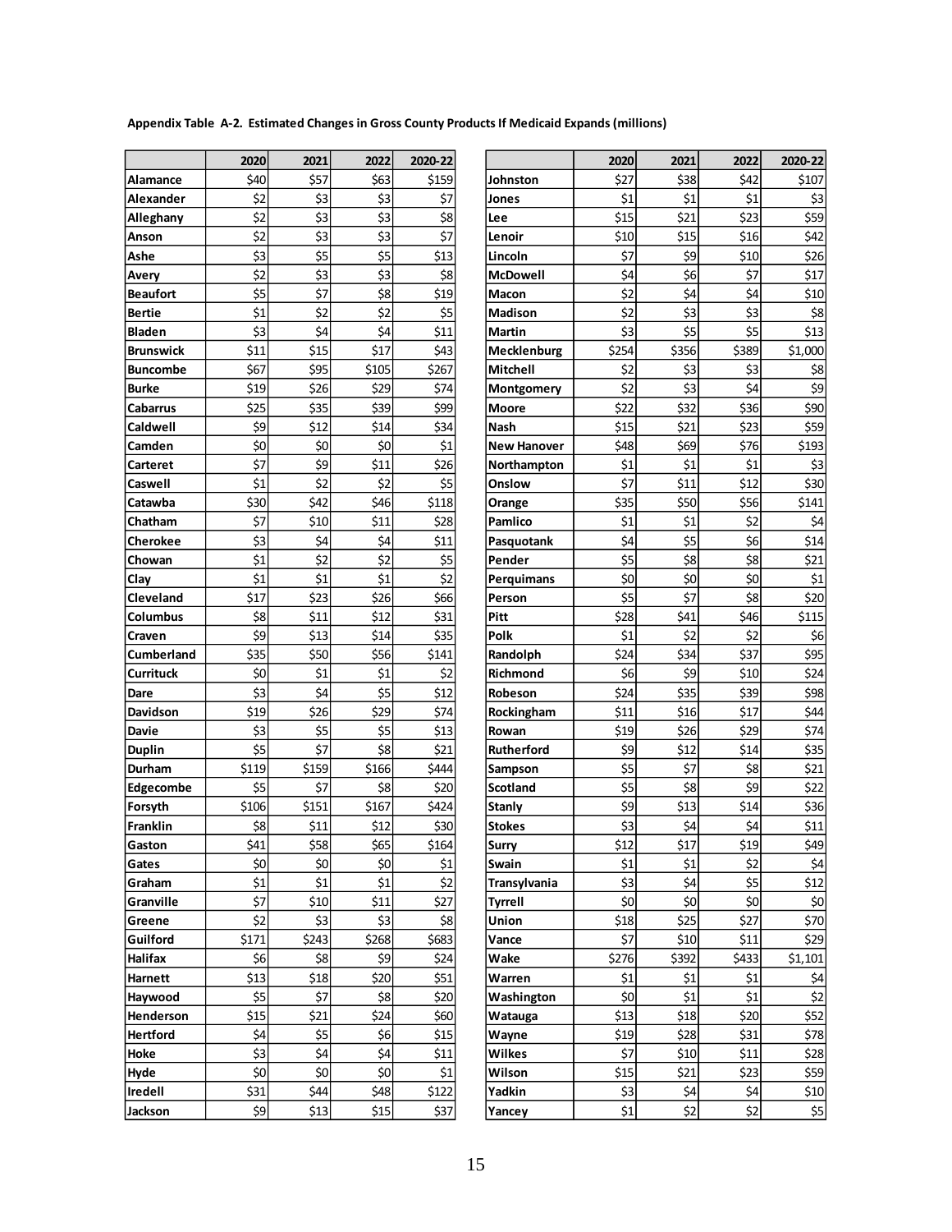| Appendix Table A-2. Estimated Changes in Gross County Products If Medicaid Expands (millions) |
|-----------------------------------------------------------------------------------------------|
|-----------------------------------------------------------------------------------------------|

|                   | 2020  | 2021  | 2022  | 2020-22 |
|-------------------|-------|-------|-------|---------|
| Alamance          | \$40  | \$57  | \$63  | \$159   |
| Alexander         | \$2   | \$3   | \$3   | \$7     |
| Alleghany         | \$2   | \$3   | \$3   | \$8     |
| Anson             | \$2   | \$3   | \$3   | \$7     |
| Ashe              | \$3   | \$5   | \$5   | \$13    |
| Avery             | \$2   | \$3   | \$3   | \$8     |
| Beaufort          | \$5   | \$7   | \$8   | \$19    |
| <b>Bertie</b>     | \$1   | \$2   | \$2   | \$5     |
| <b>Bladen</b>     | \$3   | \$4   | \$4   | \$11    |
| <b>Brunswick</b>  | \$11  | \$15  | \$17  | \$43    |
| <b>Buncombe</b>   | \$67  | \$95  | \$105 | \$267   |
| <b>Burke</b>      | \$19  | \$26  | \$29  | \$74    |
| Cabarrus          | \$25  | \$35  | \$39  | \$99    |
| Caldwell          | \$9   | \$12  | \$14  | \$34    |
| Camden            | \$0   | \$0   | \$0   | \$1     |
| Carteret          | \$7   | \$9   | \$11  | \$26    |
| Caswell           | \$1   | \$2   | \$2   | \$5     |
| Catawba           | \$30  | \$42  | \$46  | \$118   |
| Chatham           | \$7   | \$10  | \$11  | \$28    |
| Cherokee          | \$3   | \$4   | \$4   | \$11    |
| Chowan            | \$1   | \$2   | \$2   | \$5     |
| Clay              | \$1   | \$1   | \$1   | \$2     |
| Cleveland         | \$17  | \$23  | \$26  | \$66    |
| Columbus          | \$8   | \$11  | \$12  | \$31    |
| Craven            | \$9   | \$13  | \$14  | \$35    |
| <b>Cumberland</b> | \$35  | \$50  | \$56  | \$141   |
| Currituck         | \$0   | \$1   | \$1   | \$2     |
| Dare              | \$3   | \$4   | \$5   | \$12    |
| Davidson          | \$19  | \$26  | \$29  | \$74    |
| Davie             | \$3   | \$5   | \$5   | \$13    |
| <b>Duplin</b>     | \$5   | \$7   | \$8   | \$21    |
| Durham            | \$119 | \$159 | \$166 | \$444   |
| <b>Edgecombe</b>  | \$5   | \$7   | \$8   | \$20    |
| Forsyth           | \$106 | \$151 | \$167 | \$424   |
| Franklin          | \$8   | \$11  | \$12  | \$30    |
| Gaston            | \$41  | \$58l | \$65  | \$164   |
| Gates             | \$0   | \$0   | \$0   | \$1     |
| Graham            | \$1   | \$1   | \$1   | \$2     |
| Granville         | \$7   | \$10  | \$11  | \$27    |
| Greene            | \$2   | \$3   | \$3   | \$8     |
| Guilford          | \$171 | \$243 | \$268 | \$683   |
| Halifax           | \$6   | \$8   | \$9   | \$24    |
| Harnett           | \$13  | \$18  | \$20  | \$51    |
| Haywood           | \$5   | \$7   | \$8   | \$20    |
| Henderson         | \$15  | \$21  | \$24  | \$60    |
| <b>Hertford</b>   | \$4   | \$5   | \$6   | \$15    |
| Hoke              | \$3   | \$4   | \$4   | \$11    |
| Hyde              | \$0   | \$0   | \$0   | \$1     |
| Iredell           | \$31  | \$44  | \$48  | \$122   |
| Jackson           | \$9   | \$13  | \$15  | \$37    |

|                  | 2020       | 2021       | 2022       | 2020-22      |                     | 2020        | 2021         | 2022         | 2020-22      |
|------------------|------------|------------|------------|--------------|---------------------|-------------|--------------|--------------|--------------|
| Alamance         | \$40       | \$57       | \$63       | \$159        | Johnston            | \$27        | \$38         | \$42         | \$107        |
| Alexander        | \$2        | \$3        | \$3        | \$7          | Jones               | \$1         | \$1          | \$1          | \$3          |
| Alleghany        | \$2        | \$3        | \$3        | \$8          | Lee                 | \$15        | \$21         | \$23         | \$59         |
| Anson            | \$2        | \$3        | \$3        | \$7          | Lenoir              | \$10        | \$15         | \$16         | \$42         |
| Ashe             | \$3        | \$5        | \$5        | \$13         | Lincoln             | \$7         | \$9          | \$10         | \$26         |
| Avery            | \$2        | \$3        | \$3        | \$8          | <b>McDowell</b>     | \$4         | \$6          | \$7          | \$17         |
| Beaufort         | \$5        | \$7        | \$8        | \$19         | Macon               | \$2         | \$4          | \$4          | \$10         |
| Bertie           | \$1        | \$2        | \$2        | \$5          | <b>Madison</b>      | \$2         | \$3          | \$3          | \$8          |
| Bladen           | \$3        | \$4        | \$4        | \$11         | <b>Martin</b>       | \$3         | \$5          | \$5          | \$13         |
| Brunswick        | \$11       | \$15       | \$17       | \$43         | Mecklenburg         | \$254       | \$356        | \$389        | \$1,000      |
| Buncombe         | \$67       | \$95       | \$105      | \$267        | <b>Mitchell</b>     | \$2         | \$3          | \$3          | \$8          |
| Burke            | \$19       | \$26       | \$29       | \$74         | Montgomery          | \$2         | \$3          | \$4          | \$9          |
| Cabarrus         | \$25       | \$35       | \$39       | \$99         | <b>Moore</b>        | \$22        | \$32         | \$36         | \$90         |
| Caldwell         | \$9        | \$12       | \$14       | \$34         | Nash                | \$15        | \$21         | \$23         | \$59         |
| Camden           | \$0        | \$0        | \$0        | \$1          | <b>New Hanover</b>  | \$48        | \$69         | \$76         | \$193        |
| Carteret         | \$7        | \$9        | \$11       | \$26         | Northampton         | \$1         | \$1          | \$1          | \$3          |
| Caswell          | \$1        | \$2        | \$2        | \$5          | Onslow              | \$7         | \$11         | \$12         | \$30         |
| Catawba          | \$30       | \$42       | \$46       | \$118        | Orange              | \$35        | \$50         | \$56         | \$141        |
| Chatham          | \$7        | \$10       | \$11       | \$28         | Pamlico             | \$1         | \$1          | \$2          | \$4          |
| Cherokee         | \$3        | \$4        | \$4        | \$11         | Pasquotank          | \$4         | \$5          | \$6          | \$14         |
| Chowan           | \$1        | \$2        | \$2        | \$5          | Pender              | \$5         | \$8          | \$8          | \$21         |
| Clay             | \$1        | \$1        | \$1        | \$2          | Perguimans          | \$0         | \$0          | \$0          | \$1          |
| Cleveland        | \$17       | \$23       | \$26       | \$66         | Person              | \$5         | \$7          | \$8          | \$20         |
| Columbus         | \$8        | \$11       | \$12       | \$31         | Pitt                | \$28        | \$41         | \$46         | \$115        |
| Craven           | \$9        | \$13       | \$14       | \$35         | Polk                | \$1         | \$2          | \$2          | \$6          |
| Cumberland       | \$35       | \$50       | \$56       | \$141        | Randolph            | \$24        | \$34         | \$37         | \$95         |
| Currituck        | \$0        | \$1        | \$1        | \$2          | Richmond            | \$6         | \$9          | \$10         | \$24         |
| Dare             | \$3        | \$4        | \$5        | \$12         | Robeson             | \$24        | \$35         | \$39         | \$98         |
| Davidson         | \$19       | \$26       | \$29       | \$74         | Rockingham          | \$11        | \$16         | \$17         | \$44         |
| Davie<br>Duplin  | \$3<br>\$5 | \$5<br>\$7 | \$5<br>\$8 | \$13<br>\$21 | Rowan<br>Rutherford | \$19<br>\$9 | \$26<br>\$12 | \$29<br>\$14 | \$74<br>\$35 |
| Durham           | \$119      | \$159      | \$166      | \$444        | Sampson             | \$5         | \$7          | \$8          | \$21         |
| <b>Edgecombe</b> | \$5        | \$7        | \$8        | \$20         | <b>Scotland</b>     | \$5         | \$8          | \$9          | \$22         |
| Forsyth          | \$106      | \$151      | \$167      | \$424        | Stanly              | \$9         | \$13         | \$14         | \$36         |
| Franklin         | \$8        | \$11       | \$12       | \$30         | <b>Stokes</b>       | \$3         | \$4          | \$4          | \$11         |
| Gaston           | \$41       | \$58       | \$65       | \$164        | Surry               | \$12        | \$17         | \$19         | \$49         |
| Gates            | \$0        | \$0        | \$0        | \$1          | Swain               | \$1         | \$1          | \$2          | \$4          |
| Graham           | \$1        | \$1        | \$1        | \$2          | Transylvania        | \$3         | \$4          | \$5          | \$12         |
| Granville        | \$7        | \$10       | \$11       | \$27         | <b>Tyrrell</b>      | \$0         | \$0          | \$0          | \$0          |
| Greene           | \$2        | \$3        | \$3        | \$8          | Union               | \$18        | \$25         | \$27         | \$70         |
| Guilford         | \$171      | \$243      | \$268      | \$683        | Vance               | \$7         | \$10         | \$11         | \$29         |
| Halifax          | \$6        | \$8        | \$9        | \$24         | Wake                | \$276       | \$392        | \$433        | \$1,101      |
| Harnett          | \$13       | \$18       | \$20       | \$51         | Warren              | \$1         | \$1          | \$1          | \$4          |
| Haywood          | \$5        | \$7        | \$8        | \$20         | Washington          | \$0         | \$1          | \$1          | \$2          |
| Henderson        | \$15       | \$21       | \$24       | \$60         | Watauga             | \$13        | \$18         | \$20         | \$52         |
| Hertford         | \$4        | \$5        | \$6        | \$15         | Wayne               | \$19        | \$28         | \$31         | \$78         |
| Hoke             | \$3        | \$4        | \$4        | \$11         | Wilkes              | \$7         | \$10         | \$11         | \$28         |
| Hyde             | \$0        | \$0        | \$0        | \$1          | Wilson              | \$15        | \$21         | \$23         | \$59         |
| Iredell          | \$31       | \$44       | \$48       | \$122        | Yadkin              | \$3         | \$4          | \$4          | \$10         |
| Jackson          | \$9        | \$13       | \$15       | \$37         | Yancey              | \$1         | \$2          | \$2          | \$5          |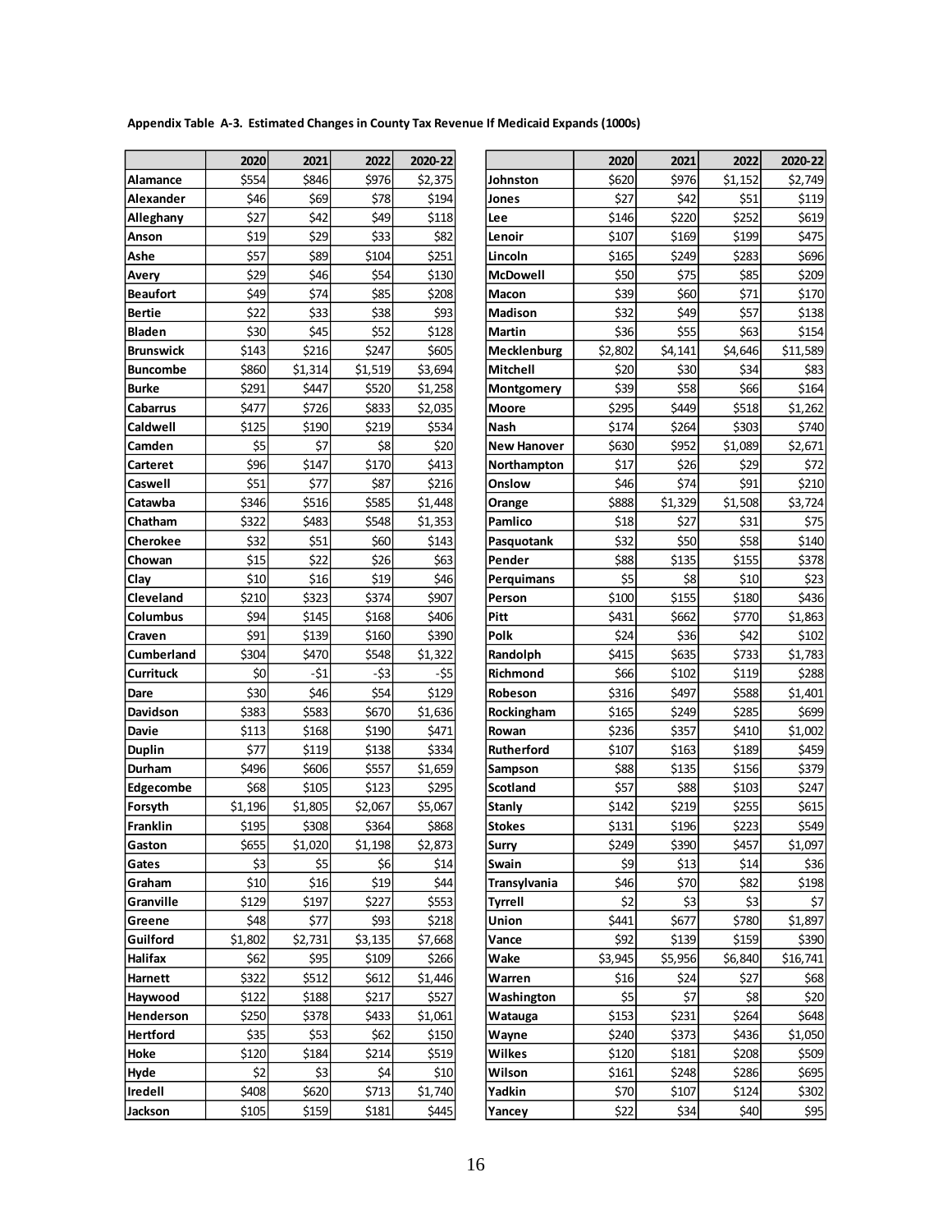**Appendix Table A-3. Estimated Changes in County Tax Revenue If Medicaid Expands (1000s)**

|                   | 2020    | 2021    | 2022                 | 2020-22 |  |
|-------------------|---------|---------|----------------------|---------|--|
| Alamance          | \$554   | \$846   | \$976                | \$2,375 |  |
| Alexander         | \$46    | \$69    | \$78                 | \$194   |  |
| Alleghany         | \$27    | \$42    | \$49                 | \$118   |  |
| Anson             | \$19    | \$29    | \$33                 | \$82    |  |
| Ashe              | \$57    | \$89    | \$104                | \$251   |  |
| Avery             | \$29    | \$46    | \$54                 | \$130   |  |
| Beaufort          | \$49    | \$74    | \$85                 | \$208   |  |
| <b>Bertie</b>     | \$22    | \$33    | \$38                 | \$93    |  |
| <b>Bladen</b>     | \$30    | \$45    | \$52                 | \$128   |  |
| Brunswick         | \$143   | \$216   | \$247                | \$605   |  |
| Buncombe          | \$860   | \$1,314 | \$1,519              | \$3,694 |  |
| <b>Burke</b>      | \$291   | \$447   | \$520                | \$1,258 |  |
| Cabarrus          | \$477   | \$726   | \$833                | \$2,035 |  |
| Caldwell          | \$125   | \$190   | \$219                | \$534   |  |
| Camden            | \$5     | \$7     | \$8                  | \$20    |  |
| Carteret          | \$96    | \$147   | \$170                | \$413   |  |
| Caswell           | \$51    | \$77    | \$87                 | \$216   |  |
| Catawba           | \$346   | \$516   | \$585                | \$1,448 |  |
| Chatham           | \$322   | \$483   | \$548                | \$1,353 |  |
| Cherokee          | \$32    | \$51    | \$60                 | \$143   |  |
| Chowan            | \$15    | \$22    | \$26                 | \$63    |  |
| Clay              | \$10    | \$16    | \$19                 | \$46    |  |
| Cleveland         | \$210   | \$323   | \$374                | \$907   |  |
| Columbus          | \$94    | \$145   | \$168                | \$406   |  |
| Craven            | \$91    | \$139   | \$160                | \$390   |  |
| <b>Cumberland</b> | \$304   | \$470   | \$548                | \$1,322 |  |
| Currituck         | \$0     | $-51$   | -\$3                 | -\$5    |  |
| Dare              | \$30    | \$46    | \$54                 | \$129   |  |
| Davidson          | \$383   | \$583   | \$670                | \$1,636 |  |
| Davie             | \$113   | \$168   | \$190                | \$471   |  |
| <b>Duplin</b>     | \$77    | \$119   | \$138                | \$334   |  |
| Durham            | \$496   | \$606   | \$557                | \$1,659 |  |
| <b>Edgecombe</b>  | \$68    | \$105   | \$123                | \$295   |  |
| Forsyth           | \$1,196 | \$1,805 | \$2,067              | \$5,067 |  |
| <b>Franklin</b>   | \$195   | \$308   | \$364                | \$868   |  |
| Gaston            | \$655   | \$1,020 | $\overline{5}$ 1,198 | \$2,873 |  |
| Gates             | \$3     | \$5     | \$6                  | \$14    |  |
| Graham            | \$10    | \$16    | \$19                 | \$44    |  |
| Granville         | \$129   | \$197   | \$227                | \$553   |  |
| Greene            | \$48    | \$77    | \$93                 | \$218   |  |
| Guilford          | \$1,802 | \$2,731 | \$3,135              | \$7,668 |  |
| Halifax           | \$62    | \$95    | \$109                | \$266   |  |
| Harnett           | \$322   | \$512   | \$612                | \$1,446 |  |
| Haywood           | \$122   | \$188   | \$217                | \$527   |  |
| Henderson         | \$250   | \$378   | \$433                | \$1,061 |  |
| <b>Hertford</b>   | \$35    | \$53    | \$62                 | \$150   |  |
| Hoke              | \$120   | \$184   | \$214                | \$519   |  |
| Hyde              | \$2     | \$3     | \$4                  | \$10    |  |
| Iredell           | \$408   | \$620   | \$713                | \$1,740 |  |
| Jackson           | \$105   | \$159   | \$181                | \$445   |  |

|                    | 2020           | 2021           | 2022           | 2020-22          |                    | 2020         | 2021          | 2022          | 2020-22       |
|--------------------|----------------|----------------|----------------|------------------|--------------------|--------------|---------------|---------------|---------------|
| Alamance           | \$554          | \$846          | \$976          | \$2,375          | Johnston           | \$620        | \$976         | \$1,152       | \$2,749       |
| Alexander          | \$46           | \$69           | \$78           | \$194            | Jones              | \$27         | \$42          | \$51          | \$119         |
| Alleghany          | \$27           | \$42           | \$49           | \$118            | Lee                | \$146        | \$220         | \$252         | \$619         |
| Anson              | \$19           | \$29           | \$33           | \$82             | Lenoir             | \$107        | \$169         | \$199         | \$475         |
| Ashe               | \$57           | \$89           | \$104          | \$251            | Lincoln            | \$165        | \$249         | \$283         | \$696         |
| Avery              | \$29           | \$46           | \$54           | \$130            | <b>McDowell</b>    | \$50         | \$75          | \$85          | \$209         |
| Beaufort           | \$49           | \$74           | \$85           | \$208            | Macon              | \$39         | \$60          | \$71          | \$170         |
| Bertie             | \$22           | \$33           | \$38           | \$93             | <b>Madison</b>     | \$32         | \$49          | \$57          | \$138         |
| Bladen             | \$30           | \$45           | \$52           | \$128            | Martin             | \$36         | \$55          | \$63          | \$154         |
| Brunswick          | \$143          | \$216          | \$247          | \$605            | Mecklenburg        | \$2,802      | \$4,141       | \$4,646       | \$11,589      |
| Buncombe           | \$860          | \$1,314        | \$1,519        | \$3,694          | Mitchell           | \$20         | \$30          | \$34          | \$83          |
| Burke              | \$291          | \$447          | \$520          | \$1,258          | Montgomery         | \$39         | \$58          | \$66          | \$164         |
| Cabarrus           | \$477          | \$726          | \$833          | \$2,035          | <b>Moore</b>       | \$295        | \$449         | \$518         | \$1,262       |
| Caldwell           | \$125          | \$190          | \$219          | \$534            | Nash               | \$174        | \$264         | \$303         | \$740         |
| Camden             | \$5            | \$7            | \$8            | \$20             | <b>New Hanover</b> | \$630        | \$952         | \$1,089       | \$2,671       |
| Carteret           | \$96           | \$147          | \$170          | \$413            | Northampton        | \$17         | \$26          | \$29          | \$72          |
| Caswell            | \$51           | \$77           | \$87           | \$216            | Onslow             | \$46         | \$74          | \$91          | \$210         |
| Catawba            | \$346          | \$516          | \$585          | \$1,448          | Orange             | \$888        | \$1,329       | \$1,508       | \$3.724       |
| Chatham            | \$322          | \$483          | \$548          | \$1,353          | Pamlico            | \$18         | \$27          | \$31          | \$75          |
| Cherokee           | \$32           | \$51           | \$60           | \$143            | Pasquotank         | \$32         | \$50          | \$58          | \$140         |
| Chowan             | \$15           | \$22           | \$26           | \$63             | Pender             | \$88         | \$135         | \$155         | \$378         |
| Clay               | \$10           | \$16           | \$19           | \$46             | Perquimans         | \$5          | \$8           | \$10          | \$23          |
| Cleveland          | \$210          | \$323          | \$374          | \$907            | Person             | \$100        | \$155         | \$180         | \$436         |
| Columbus           | \$94           | \$145          | \$168          | \$406            | Pitt               | \$431        | \$662         | \$770         | \$1,863       |
| Craven             | \$91           | \$139          | \$160          | \$390            | Polk               | \$24         | \$36          | \$42          | \$102         |
| Cumberland         | \$304          | \$470          | \$548          | \$1,322          | Randolph           | \$415        | \$635         | \$733         | \$1,783       |
| Currituck          | \$0            | $-51$          | -\$3           | -\$5             | <b>Richmond</b>    | \$66         | \$102         | \$119         | \$288         |
| Dare               | \$30           | \$46           | \$54           | \$129            | Robeson            | \$316        | \$497         | \$588         | \$1,401       |
| Davidson           | \$383          | \$583          | \$670          | \$1,636          | Rockingham         | \$165        | \$249         | \$285         | \$699         |
| Davie              | \$113          | \$168          | \$190          | \$471            | Rowan              | \$236        | \$357         | \$410         | \$1,002       |
| <b>Duplin</b>      | \$77           | \$119          | \$138          | \$334            | Rutherford         | \$107        | \$163         | \$189         | \$459         |
| Durham             | \$496          | \$606          | \$557          | \$1,659          | Sampson            | \$88         | \$135         | \$156         | \$379         |
| Edgecombe          | \$68           | \$105          | \$123          | \$295            | <b>Scotland</b>    | \$57         | \$88          | \$103         | \$247         |
| Forsyth            | \$1,196        | \$1,805        | \$2,067        | \$5,067          | Stanly             | \$142        | \$219         | \$255         | \$615         |
| Franklin           | \$195          | \$308          | \$364          | \$868            | <b>Stokes</b>      | \$131        | \$196         | \$223         | \$549         |
| Gaston             | \$655          | \$1,020        | \$1,198        | \$2,873          | <b>Surry</b>       | \$249        | \$390         | \$457         | \$1,097       |
| Gates              | \$3            | \$5            | \$6            | \$14             | Swain              | \$9          | \$13          | \$14          | \$36          |
| Graham             | \$10           | \$16           | \$19           | \$44             | Transylvania       | \$46         | \$70          | \$82          | \$198         |
| Granville          | \$129          | \$197          | \$227          | \$553            | Tyrrell            | \$2          | \$3           | \$3           | \$7           |
| Greene             | \$48           | \$77           | \$93           | \$218            | Union              | \$441        | \$677         | \$780         | \$1,897       |
| Guilford           | \$1,802        | \$2,731        | \$3,135        | \$7,668          | Vance              | \$92         | \$139         | \$159         | \$390         |
| Halifax            | \$62           | \$95           | \$109          | \$266            | Wake               | \$3,945      | \$5,956       | \$6,840       | \$16,741      |
| Harnett            | \$322          | \$512          | \$612          | \$1,446          | Warren             | \$16         | \$24          | \$27          | \$68          |
| Haywood            | \$122          | \$188          | \$217          | \$527            | Washington         | \$5          | \$7           | \$8           | \$20          |
| Henderson          | \$250          | \$378          | \$433          | \$1,061          | Watauga            | \$153        | \$231         | \$264         | \$648         |
| <b>Hertford</b>    | \$35           | \$53           | \$62           | \$150            | Wayne              | \$240        | \$373         | \$436         | \$1,050       |
| Hoke               | \$120<br>\$2   | \$184          | \$214          | \$519            | Wilkes             | \$120        | \$181         | \$208         | \$509         |
| Hyde               |                | \$3            | \$4            | \$10             | Wilson             | \$161        | \$248         | \$286         | \$695         |
| Iredell<br>Jackson | \$408<br>\$105 | \$620<br>\$159 | \$713<br>\$181 | \$1,740<br>\$445 | Yadkin<br>Yancey   | \$70<br>\$22 | \$107<br>\$34 | \$124<br>\$40 | \$302<br>\$95 |
|                    |                |                |                |                  |                    |              |               |               |               |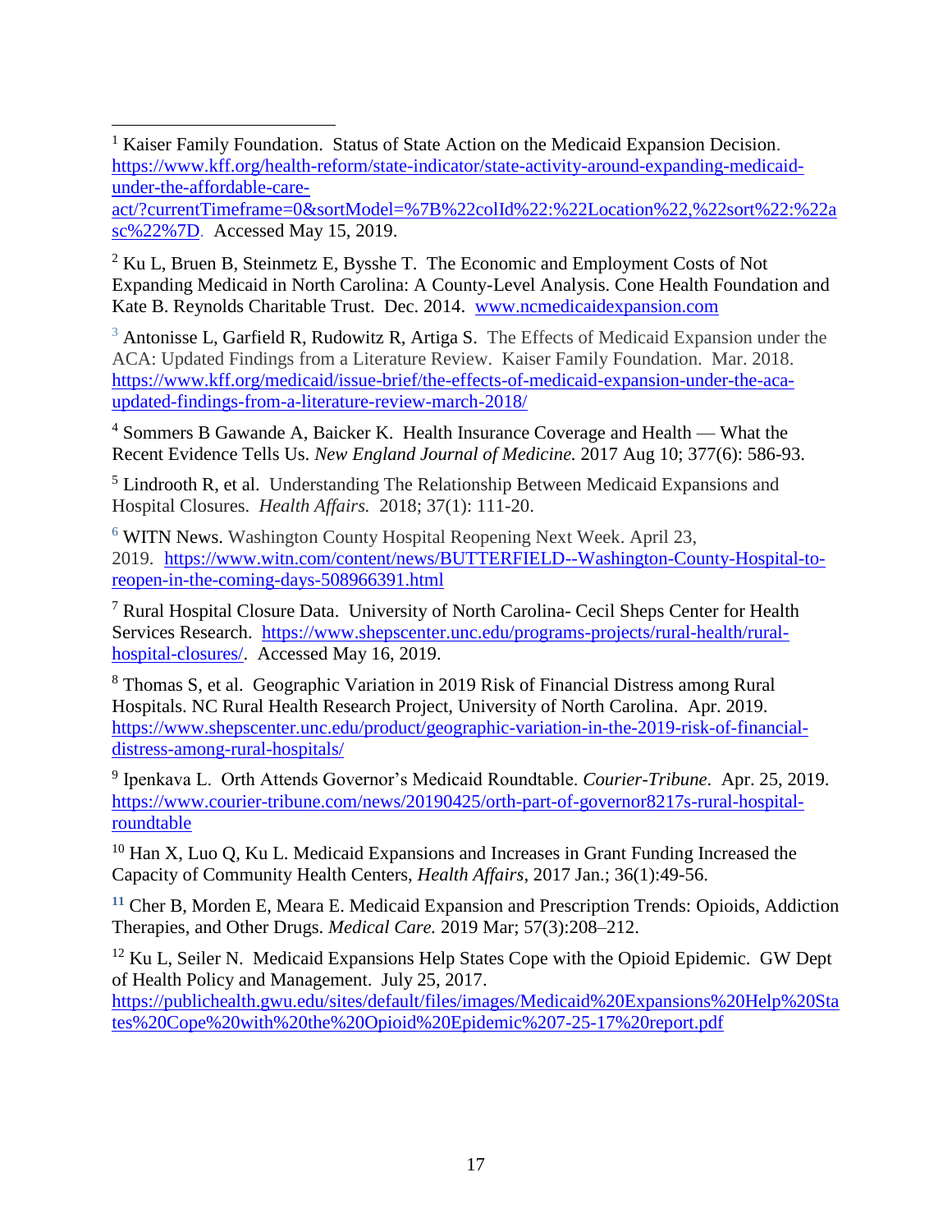<sup>1</sup> Kaiser Family Foundation. Status of State Action on the Medicaid Expansion Decision. [https://www.kff.org/health-reform/state-indicator/state-activity-around-expanding-medicaid](https://www.kff.org/health-reform/state-indicator/state-activity-around-expanding-medicaid-under-the-affordable-care-act/?currentTimeframe=0&sortModel=%7B%22colId%22:%22Location%22,%22sort%22:%22asc%22%7D)[under-the-affordable-care-](https://www.kff.org/health-reform/state-indicator/state-activity-around-expanding-medicaid-under-the-affordable-care-act/?currentTimeframe=0&sortModel=%7B%22colId%22:%22Location%22,%22sort%22:%22asc%22%7D) $\overline{a}$ 

[act/?currentTimeframe=0&sortModel=%7B%22colId%22:%22Location%22,%22sort%22:%22a](https://www.kff.org/health-reform/state-indicator/state-activity-around-expanding-medicaid-under-the-affordable-care-act/?currentTimeframe=0&sortModel=%7B%22colId%22:%22Location%22,%22sort%22:%22asc%22%7D) [sc%22%7D.](https://www.kff.org/health-reform/state-indicator/state-activity-around-expanding-medicaid-under-the-affordable-care-act/?currentTimeframe=0&sortModel=%7B%22colId%22:%22Location%22,%22sort%22:%22asc%22%7D) Accessed May 15, 2019.

 $2$  Ku L, Bruen B, Steinmetz E, Bysshe T. The Economic and Employment Costs of Not Expanding Medicaid in North Carolina: A County-Level Analysis. Cone Health Foundation and Kate B. Reynolds Charitable Trust. Dec. 2014. [www.ncmedicaidexpansion.com](http://www.ncmedicaidexpansion.com/)

<sup>3</sup> Antonisse L, Garfield R, Rudowitz R, Artiga S. The Effects of Medicaid Expansion under the ACA: Updated Findings from a Literature Review. Kaiser Family Foundation. Mar. 2018. [https://www.kff.org/medicaid/issue-brief/the-effects-of-medicaid-expansion-under-the-aca](https://www.kff.org/medicaid/issue-brief/the-effects-of-medicaid-expansion-under-the-aca-updated-findings-from-a-literature-review-march-2018/)[updated-findings-from-a-literature-review-march-2018/](https://www.kff.org/medicaid/issue-brief/the-effects-of-medicaid-expansion-under-the-aca-updated-findings-from-a-literature-review-march-2018/)

<sup>4</sup> Sommers B Gawande A, Baicker K. Health Insurance Coverage and Health — What the Recent Evidence Tells Us. *New England Journal of Medicine.* 2017 Aug 10; 377(6): 586-93.

<sup>5</sup> Lindrooth R, et al. Understanding The Relationship Between Medicaid Expansions and Hospital Closures. *Health Affairs.* 2018; 37(1): 111-20.

<sup>6</sup> WITN News. Washington County Hospital Reopening Next Week. April 23, 2019. [https://www.witn.com/content/news/BUTTERFIELD--Washington-County-Hospital-to](https://www.witn.com/content/news/BUTTERFIELD--Washington-County-Hospital-to-reopen-in-the-coming-days-508966391.html)[reopen-in-the-coming-days-508966391.html](https://www.witn.com/content/news/BUTTERFIELD--Washington-County-Hospital-to-reopen-in-the-coming-days-508966391.html)

<sup>7</sup> Rural Hospital Closure Data. University of North Carolina- Cecil Sheps Center for Health Services Research. [https://www.shepscenter.unc.edu/programs-projects/rural-health/rural](https://www.shepscenter.unc.edu/programs-projects/rural-health/rural-hospital-closures/)[hospital-closures/.](https://www.shepscenter.unc.edu/programs-projects/rural-health/rural-hospital-closures/) Accessed May 16, 2019.

<sup>8</sup> Thomas S, et al. Geographic Variation in 2019 Risk of Financial Distress among Rural Hospitals. NC Rural Health Research Project, University of North Carolina. Apr. 2019. [https://www.shepscenter.unc.edu/product/geographic-variation-in-the-2019-risk-of-financial](https://www.shepscenter.unc.edu/product/geographic-variation-in-the-2019-risk-of-financial-distress-among-rural-hospitals/)[distress-among-rural-hospitals/](https://www.shepscenter.unc.edu/product/geographic-variation-in-the-2019-risk-of-financial-distress-among-rural-hospitals/)

9 Ipenkava L. Orth Attends Governor's Medicaid Roundtable. *Courier-Tribune*. Apr. 25, 2019. [https://www.courier-tribune.com/news/20190425/orth-part-of-governor8217s-rural-hospital](https://www.courier-tribune.com/news/20190425/orth-part-of-governor8217s-rural-hospital-roundtable)[roundtable](https://www.courier-tribune.com/news/20190425/orth-part-of-governor8217s-rural-hospital-roundtable)

 $10$  Han X, Luo Q, Ku L. Medicaid Expansions and Increases in Grant Funding Increased the Capacity of Community Health Centers, *Health Affairs*, 2017 Jan.; 36(1):49-56.

**<sup>11</sup>** Cher B, Morden E, Meara E. Medicaid Expansion and Prescription Trends: Opioids, Addiction Therapies, and Other Drugs. *Medical Care.* 2019 Mar; 57(3):208–212.

<sup>12</sup> Ku L, Seiler N. Medicaid Expansions Help States Cope with the Opioid Epidemic. GW Dept of Health Policy and Management. July 25, 2017.

[https://publichealth.gwu.edu/sites/default/files/images/Medicaid%20Expansions%20Help%20Sta](https://publichealth.gwu.edu/sites/default/files/images/Medicaid%20Expansions%20Help%20States%20Cope%20with%20the%20Opioid%20Epidemic%207-25-17%20report.pdf) [tes%20Cope%20with%20the%20Opioid%20Epidemic%207-25-17%20report.pdf](https://publichealth.gwu.edu/sites/default/files/images/Medicaid%20Expansions%20Help%20States%20Cope%20with%20the%20Opioid%20Epidemic%207-25-17%20report.pdf)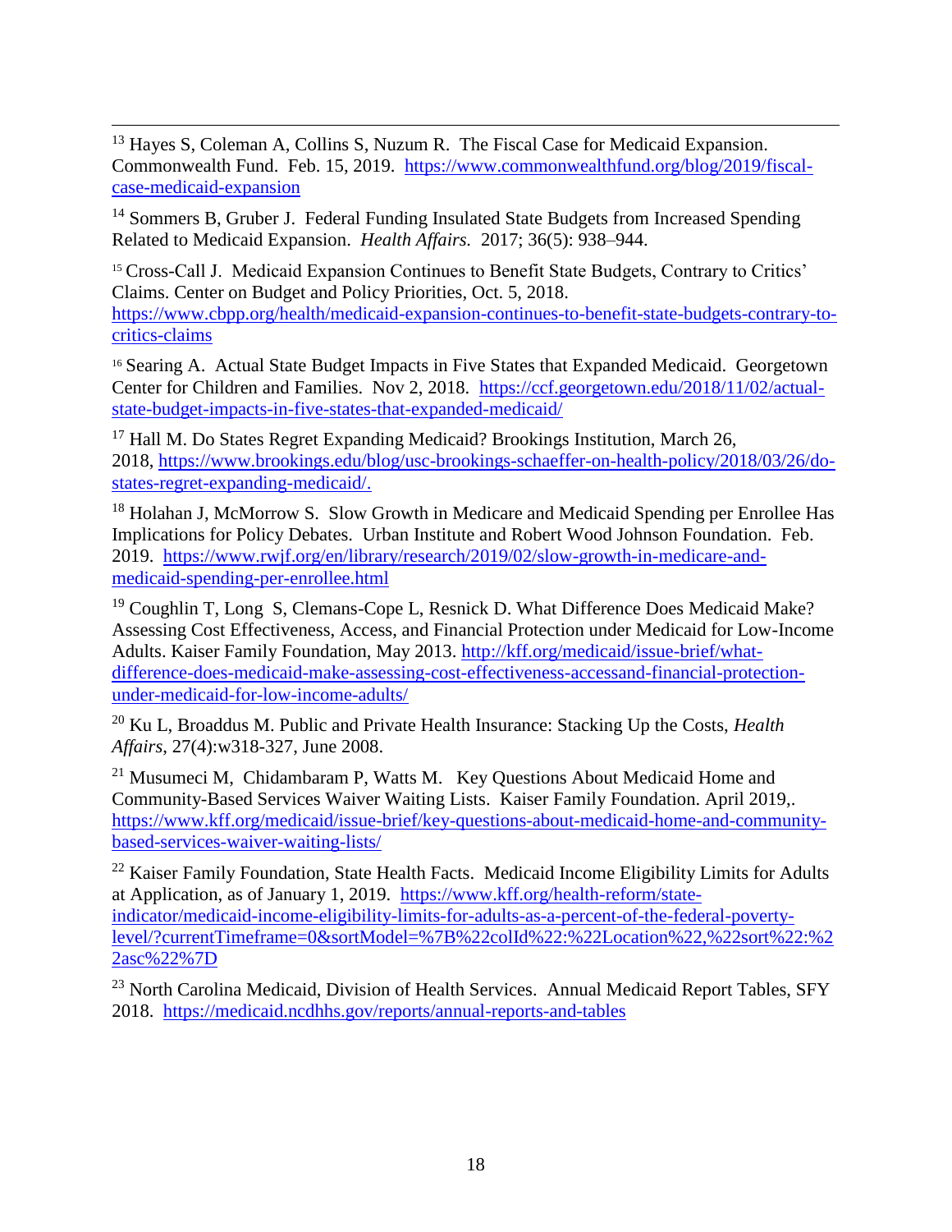$\overline{a}$ <sup>13</sup> Hayes S, Coleman A, Collins S, Nuzum R. The Fiscal Case for Medicaid Expansion. Commonwealth Fund. Feb. 15, 2019. [https://www.commonwealthfund.org/blog/2019/fiscal](https://www.commonwealthfund.org/blog/2019/fiscal-case-medicaid-expansion)[case-medicaid-expansion](https://www.commonwealthfund.org/blog/2019/fiscal-case-medicaid-expansion)

<sup>14</sup> Sommers B, Gruber J. Federal Funding Insulated State Budgets from Increased Spending Related to Medicaid Expansion. *Health Affairs.* 2017; 36(5): 938–944.

<sup>15</sup> Cross-Call J. Medicaid Expansion Continues to Benefit State Budgets, Contrary to Critics' Claims. Center on Budget and Policy Priorities, Oct. 5, 2018. [https://www.cbpp.org/health/medicaid-expansion-continues-to-benefit-state-budgets-contrary-to](https://www.cbpp.org/health/medicaid-expansion-continues-to-benefit-state-budgets-contrary-to-critics-claims)[critics-claims](https://www.cbpp.org/health/medicaid-expansion-continues-to-benefit-state-budgets-contrary-to-critics-claims)

<sup>16</sup> Searing A. Actual State Budget Impacts in Five States that Expanded Medicaid. Georgetown Center for Children and Families. Nov 2, 2018. [https://ccf.georgetown.edu/2018/11/02/actual](https://ccf.georgetown.edu/2018/11/02/actual-state-budget-impacts-in-five-states-that-expanded-medicaid/)[state-budget-impacts-in-five-states-that-expanded-medicaid/](https://ccf.georgetown.edu/2018/11/02/actual-state-budget-impacts-in-five-states-that-expanded-medicaid/)

<sup>17</sup> Hall M. Do States Regret Expanding Medicaid? Brookings Institution, March 26, 2018, [https://www.brookings.edu/blog/usc-brookings-schaeffer-on-health-policy/2018/03/26/do](https://www.brookings.edu/blog/usc-brookings-schaeffer-on-health-policy/2018/03/26/do-states-regret-expanding-medicaid/)[states-regret-expanding-medicaid/.](https://www.brookings.edu/blog/usc-brookings-schaeffer-on-health-policy/2018/03/26/do-states-regret-expanding-medicaid/)

<sup>18</sup> Holahan J, McMorrow S. Slow Growth in Medicare and Medicaid Spending per Enrollee Has Implications for Policy Debates. Urban Institute and Robert Wood Johnson Foundation. Feb. 2019. [https://www.rwjf.org/en/library/research/2019/02/slow-growth-in-medicare-and](https://www.rwjf.org/en/library/research/2019/02/slow-growth-in-medicare-and-medicaid-spending-per-enrollee.html)[medicaid-spending-per-enrollee.html](https://www.rwjf.org/en/library/research/2019/02/slow-growth-in-medicare-and-medicaid-spending-per-enrollee.html)

<sup>19</sup> Coughlin T, Long S, Clemans-Cope L, Resnick D. What Difference Does Medicaid Make? Assessing Cost Effectiveness, Access, and Financial Protection under Medicaid for Low-Income Adults. Kaiser Family Foundation, May 2013. [http://kff.org/medicaid/issue-brief/what](http://kff.org/medicaid/issue-brief/what-difference-does-medicaid-make-assessing-cost-effectiveness-accessand-financial-protection-under-medicaid-for-low-income-adults/)[difference-does-medicaid-make-assessing-cost-effectiveness-accessand-financial-protection](http://kff.org/medicaid/issue-brief/what-difference-does-medicaid-make-assessing-cost-effectiveness-accessand-financial-protection-under-medicaid-for-low-income-adults/)[under-medicaid-for-low-income-adults/](http://kff.org/medicaid/issue-brief/what-difference-does-medicaid-make-assessing-cost-effectiveness-accessand-financial-protection-under-medicaid-for-low-income-adults/)

<sup>20</sup> Ku L, Broaddus M. Public and Private Health Insurance: Stacking Up the Costs, *Health Affairs*, 27(4):w318-327, June 2008.

 $^{21}$  Musumeci M, Chidambaram P, Watts M. Key Questions About Medicaid Home and Community-Based Services Waiver Waiting Lists. Kaiser Family Foundation. April 2019,. [https://www.kff.org/medicaid/issue-brief/key-questions-about-medicaid-home-and-community](https://www.kff.org/medicaid/issue-brief/key-questions-about-medicaid-home-and-community-based-services-waiver-waiting-lists/)[based-services-waiver-waiting-lists/](https://www.kff.org/medicaid/issue-brief/key-questions-about-medicaid-home-and-community-based-services-waiver-waiting-lists/)

<sup>22</sup> Kaiser Family Foundation, State Health Facts. Medicaid Income Eligibility Limits for Adults at Application, as of January 1, 2019. [https://www.kff.org/health-reform/state](https://www.kff.org/health-reform/state-indicator/medicaid-income-eligibility-limits-for-adults-as-a-percent-of-the-federal-poverty-level/?currentTimeframe=0&sortModel=%7B%22colId%22:%22Location%22,%22sort%22:%22asc%22%7D)[indicator/medicaid-income-eligibility-limits-for-adults-as-a-percent-of-the-federal-poverty](https://www.kff.org/health-reform/state-indicator/medicaid-income-eligibility-limits-for-adults-as-a-percent-of-the-federal-poverty-level/?currentTimeframe=0&sortModel=%7B%22colId%22:%22Location%22,%22sort%22:%22asc%22%7D)[level/?currentTimeframe=0&sortModel=%7B%22colId%22:%22Location%22,%22sort%22:%2](https://www.kff.org/health-reform/state-indicator/medicaid-income-eligibility-limits-for-adults-as-a-percent-of-the-federal-poverty-level/?currentTimeframe=0&sortModel=%7B%22colId%22:%22Location%22,%22sort%22:%22asc%22%7D) [2asc%22%7D](https://www.kff.org/health-reform/state-indicator/medicaid-income-eligibility-limits-for-adults-as-a-percent-of-the-federal-poverty-level/?currentTimeframe=0&sortModel=%7B%22colId%22:%22Location%22,%22sort%22:%22asc%22%7D)

<sup>23</sup> North Carolina Medicaid, Division of Health Services. Annual Medicaid Report Tables, SFY 2018. <https://medicaid.ncdhhs.gov/reports/annual-reports-and-tables>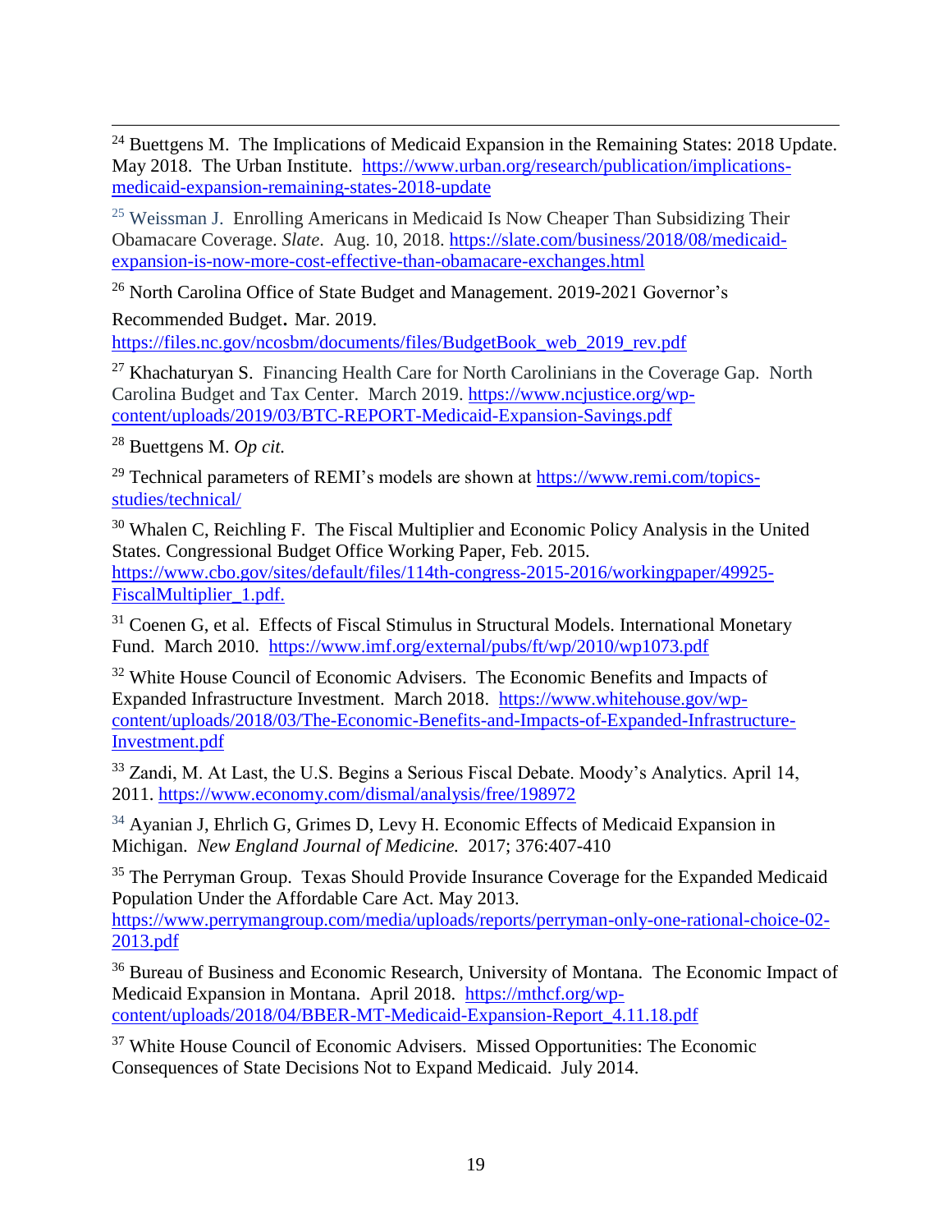$\overline{a}$  $24$  Buettgens M. The Implications of Medicaid Expansion in the Remaining States: 2018 Update. May 2018. The Urban Institute. [https://www.urban.org/research/publication/implications](https://www.urban.org/research/publication/implications-medicaid-expansion-remaining-states-2018-update)[medicaid-expansion-remaining-states-2018-update](https://www.urban.org/research/publication/implications-medicaid-expansion-remaining-states-2018-update)

<sup>25</sup> Weissman J. Enrolling Americans in Medicaid Is Now Cheaper Than Subsidizing Their Obamacare Coverage. *Slate*. Aug. 10, 2018. [https://slate.com/business/2018/08/medicaid](https://slate.com/business/2018/08/medicaid-expansion-is-now-more-cost-effective-than-obamacare-exchanges.html)[expansion-is-now-more-cost-effective-than-obamacare-exchanges.html](https://slate.com/business/2018/08/medicaid-expansion-is-now-more-cost-effective-than-obamacare-exchanges.html)

<sup>26</sup> North Carolina Office of State Budget and Management. 2019-2021 Governor's

Recommended Budget. Mar. 2019. [https://files.nc.gov/ncosbm/documents/files/BudgetBook\\_web\\_2019\\_rev.pdf](https://files.nc.gov/ncosbm/documents/files/BudgetBook_web_2019_rev.pdf)

<sup>27</sup> Khachaturyan S. Financing Health Care for North Carolinians in the Coverage Gap. North Carolina Budget and Tax Center. March 2019. [https://www.ncjustice.org/wp](https://www.ncjustice.org/wp-content/uploads/2019/03/BTC-REPORT-Medicaid-Expansion-Savings.pdf)[content/uploads/2019/03/BTC-REPORT-Medicaid-Expansion-Savings.pdf](https://www.ncjustice.org/wp-content/uploads/2019/03/BTC-REPORT-Medicaid-Expansion-Savings.pdf)

<sup>28</sup> Buettgens M. *Op cit.*

<sup>29</sup> Technical parameters of REMI's models are shown at [https://www.remi.com/topics](https://www.remi.com/topics-studies/technical/)[studies/technical/](https://www.remi.com/topics-studies/technical/)

<sup>30</sup> Whalen C, Reichling F. The Fiscal Multiplier and Economic Policy Analysis in the United States. Congressional Budget Office Working Paper, Feb. 2015. [https://www.cbo.gov/sites/default/files/114th-congress-2015-2016/workingpaper/49925-](https://www.cbo.gov/sites/default/files/114th-congress-2015-2016/workingpaper/49925-FiscalMultiplier_1.pdf.) [FiscalMultiplier\\_1.pdf.](https://www.cbo.gov/sites/default/files/114th-congress-2015-2016/workingpaper/49925-FiscalMultiplier_1.pdf.)

 $31$  Coenen G, et al. Effects of Fiscal Stimulus in Structural Models. International Monetary Fund. March 2010. <https://www.imf.org/external/pubs/ft/wp/2010/wp1073.pdf>

<sup>32</sup> White House Council of Economic Advisers. The Economic Benefits and Impacts of Expanded Infrastructure Investment. March 2018. [https://www.whitehouse.gov/wp](https://www.whitehouse.gov/wp-content/uploads/2018/03/The-Economic-Benefits-and-Impacts-of-Expanded-Infrastructure-Investment.pdf)[content/uploads/2018/03/The-Economic-Benefits-and-Impacts-of-Expanded-Infrastructure-](https://www.whitehouse.gov/wp-content/uploads/2018/03/The-Economic-Benefits-and-Impacts-of-Expanded-Infrastructure-Investment.pdf)[Investment.pdf](https://www.whitehouse.gov/wp-content/uploads/2018/03/The-Economic-Benefits-and-Impacts-of-Expanded-Infrastructure-Investment.pdf)

<sup>33</sup> Zandi, M. At Last, the U.S. Begins a Serious Fiscal Debate. Moody's Analytics. April 14, 2011.<https://www.economy.com/dismal/analysis/free/198972>

<sup>34</sup> Ayanian J, Ehrlich G, Grimes D, Levy H. Economic Effects of Medicaid Expansion in Michigan. *New England Journal of Medicine.* 2017; 376:407-410

<sup>35</sup> The Perryman Group. Texas Should Provide Insurance Coverage for the Expanded Medicaid Population Under the Affordable Care Act. May 2013.

[https://www.perrymangroup.com/media/uploads/reports/perryman-only-one-rational-choice-02-](https://www.perrymangroup.com/media/uploads/reports/perryman-only-one-rational-choice-02-2013.pdf) [2013.pdf](https://www.perrymangroup.com/media/uploads/reports/perryman-only-one-rational-choice-02-2013.pdf)

<sup>36</sup> Bureau of Business and Economic Research, University of Montana. The Economic Impact of Medicaid Expansion in Montana. April 2018. [https://mthcf.org/wp](https://mthcf.org/wp-content/uploads/2018/04/BBER-MT-Medicaid-Expansion-Report_4.11.18.pdf)[content/uploads/2018/04/BBER-MT-Medicaid-Expansion-Report\\_4.11.18.pdf](https://mthcf.org/wp-content/uploads/2018/04/BBER-MT-Medicaid-Expansion-Report_4.11.18.pdf)

 $37$  White House Council of Economic Advisers. Missed Opportunities: The Economic Consequences of State Decisions Not to Expand Medicaid. July 2014.